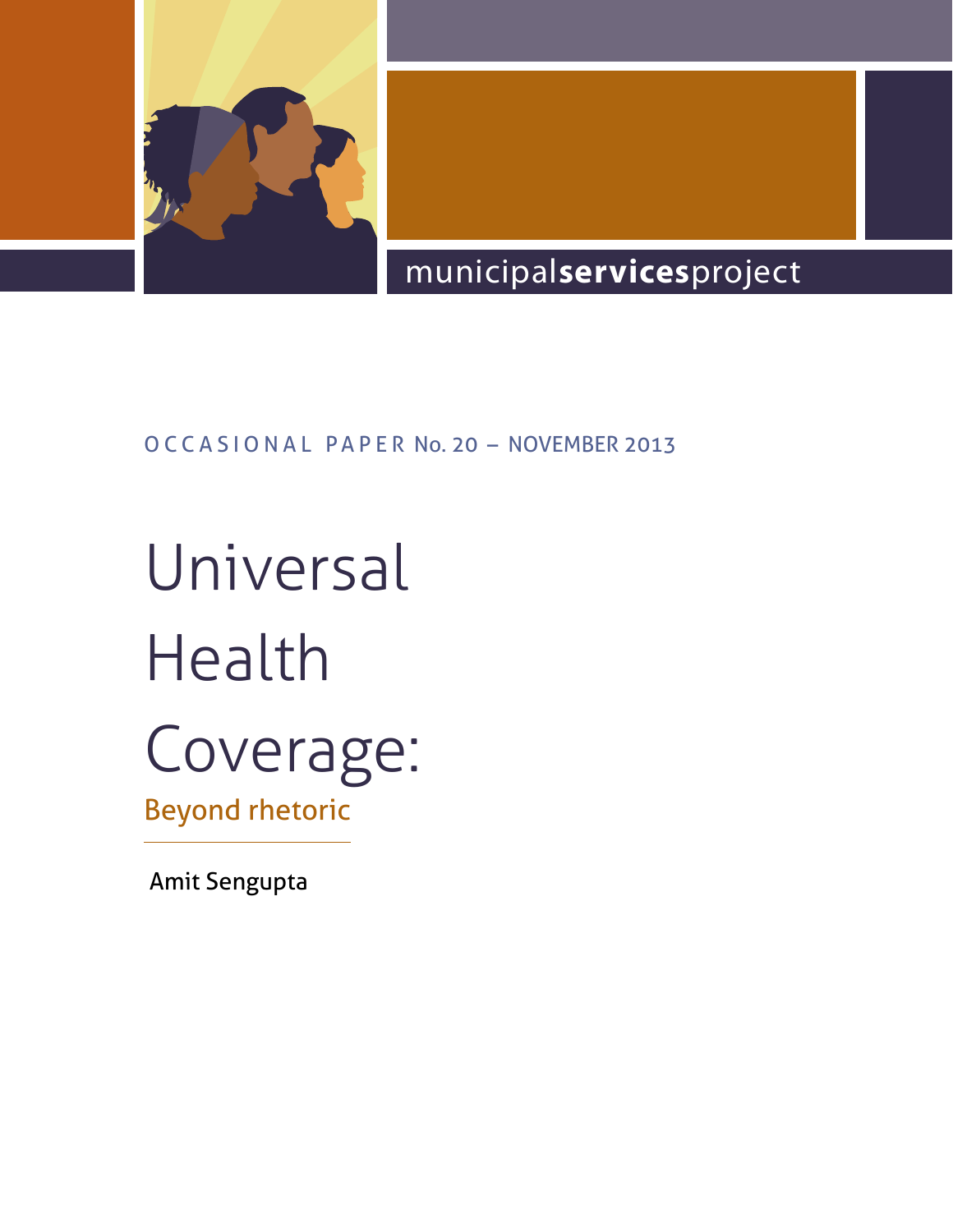

### municipal**services**project

OCCASIONAL PAPER No. 20 - NOVEMBER 2013

# Universal Health Coverage: Beyond rhetoric

Amit Sengupta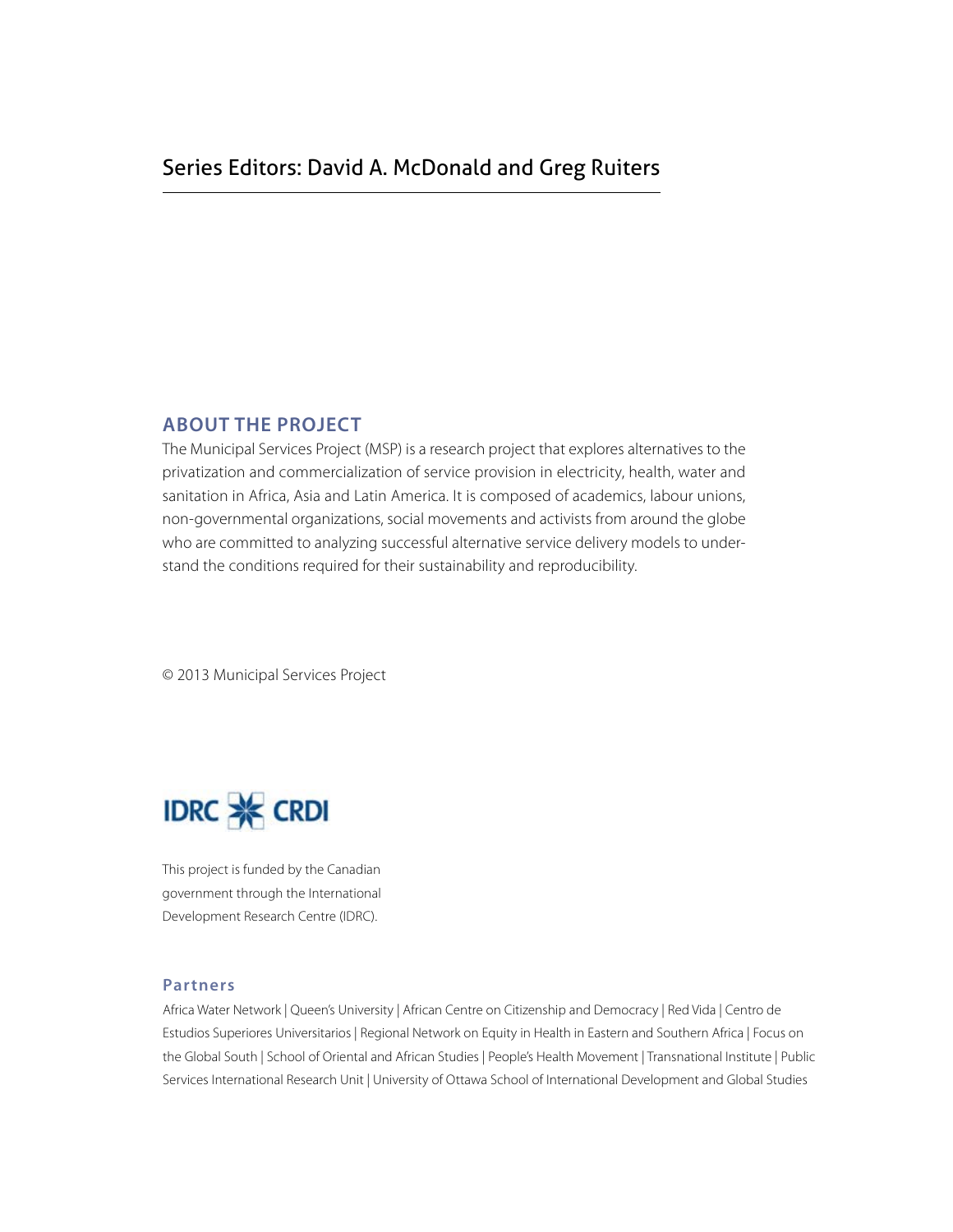#### **About the project**

The Municipal Services Project (MSP) is a research project that explores alternatives to the privatization and commercialization of service provision in electricity, health, water and sanitation in Africa, Asia and Latin America. It is composed of academics, labour unions, non-governmental organizations, social movements and activists from around the globe who are committed to analyzing successful alternative service delivery models to understand the conditions required for their sustainability and reproducibility.

© 2013 Municipal Services Project



This project is funded by the Canadian government through the International Development Research Centre (IDRC).

#### **Partners**

Africa Water Network | Queen's University | African Centre on Citizenship and Democracy | Red Vida | Centro de Estudios Superiores Universitarios | Regional Network on Equity in Health in Eastern and Southern Africa | Focus on the Global South | School of Oriental and African Studies | People's Health Movement | Transnational Institute | Public Services International Research Unit | University of Ottawa School of International Development and Global Studies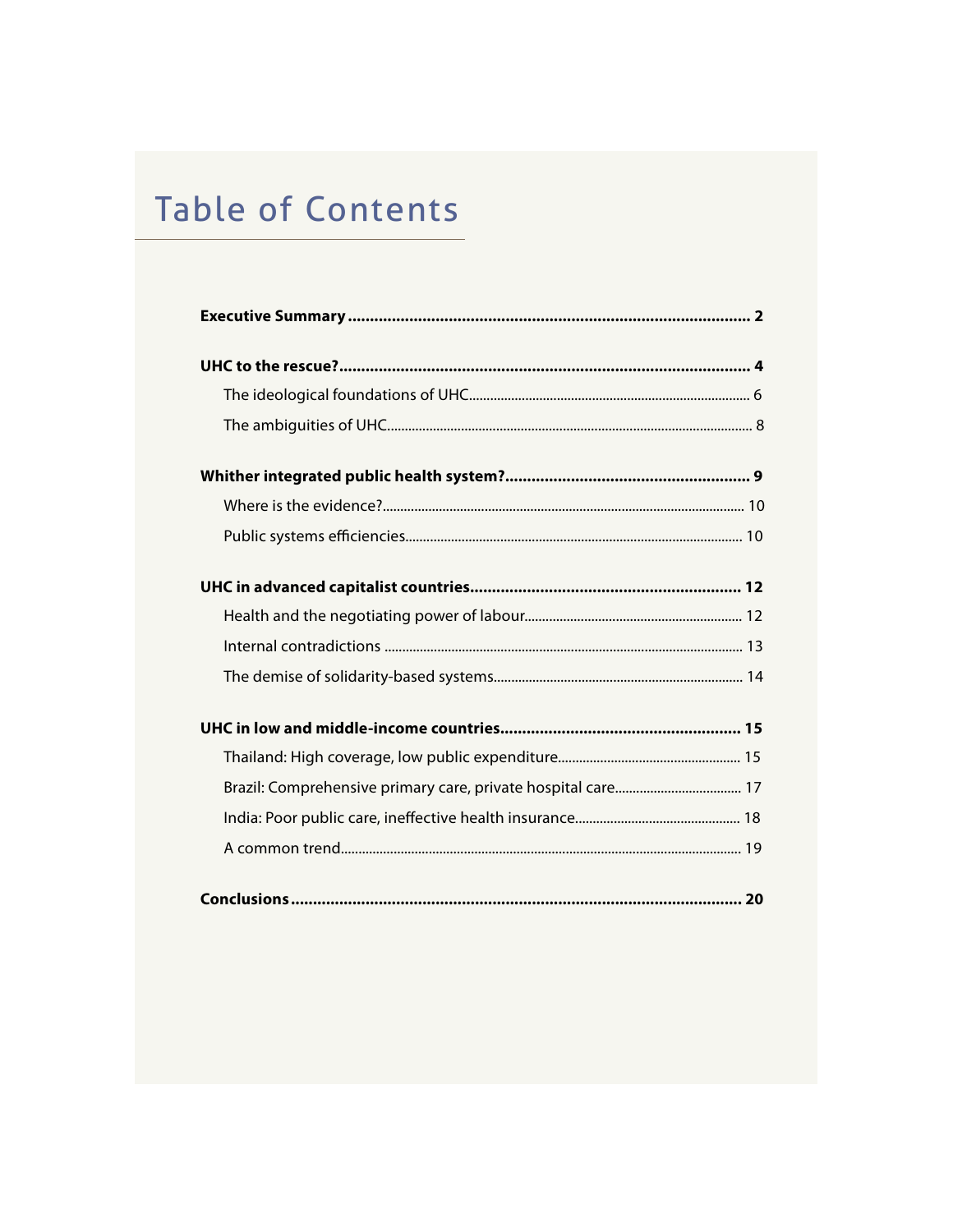## **Table of Contents**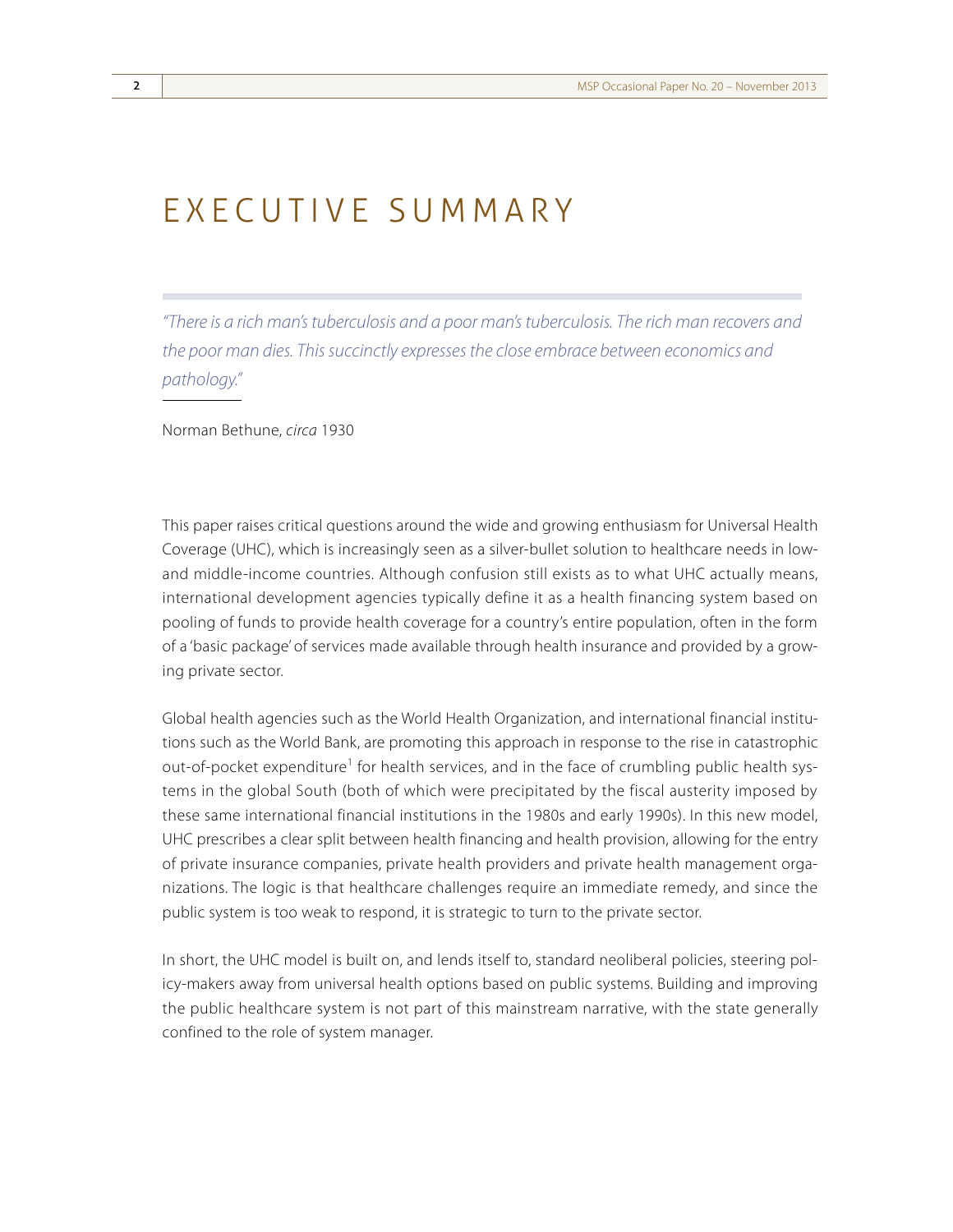### EXECUTIVE SUMMARY

*"There is a rich man's tuberculosis and a poor man's tuberculosis. The rich man recovers and the poor man dies. This succinctly expresses the close embrace between economics and pathology."*

Norman Bethune, *circa* 1930

This paper raises critical questions around the wide and growing enthusiasm for Universal Health Coverage (UHC), which is increasingly seen as a silver-bullet solution to healthcare needs in lowand middle-income countries. Although confusion still exists as to what UHC actually means, international development agencies typically define it as a health financing system based on pooling of funds to provide health coverage for a country's entire population, often in the form of a 'basic package' of services made available through health insurance and provided by a growing private sector.

Global health agencies such as the World Health Organization, and international financial institutions such as the World Bank, are promoting this approach in response to the rise in catastrophic out-of-pocket expenditure<sup>1</sup> for health services, and in the face of crumbling public health systems in the global South (both of which were precipitated by the fiscal austerity imposed by these same international financial institutions in the 1980s and early 1990s). In this new model, UHC prescribes a clear split between health financing and health provision, allowing for the entry of private insurance companies, private health providers and private health management organizations. The logic is that healthcare challenges require an immediate remedy, and since the public system is too weak to respond, it is strategic to turn to the private sector.

In short, the UHC model is built on, and lends itself to, standard neoliberal policies, steering policy-makers away from universal health options based on public systems. Building and improving the public healthcare system is not part of this mainstream narrative, with the state generally confined to the role of system manager.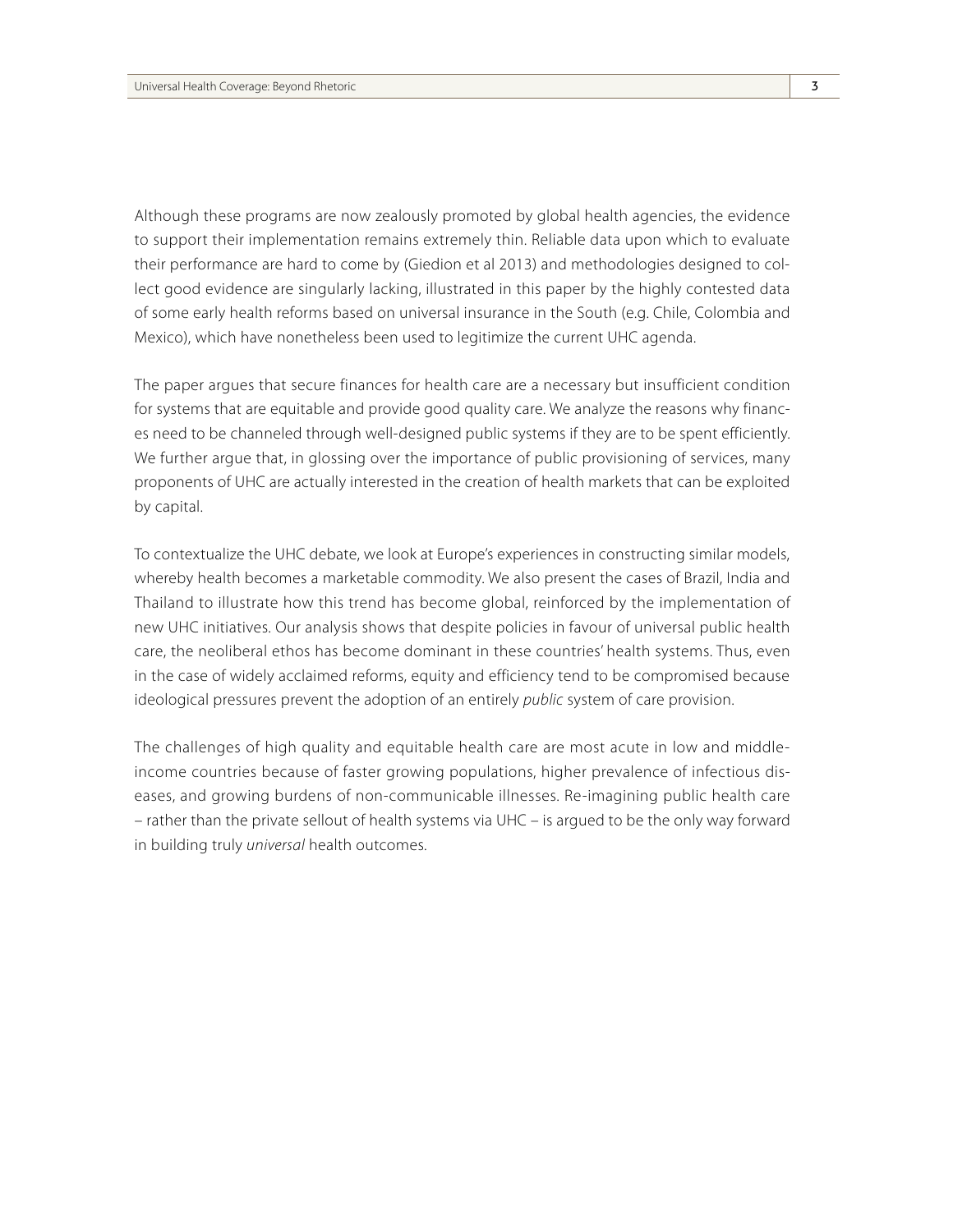Although these programs are now zealously promoted by global health agencies, the evidence to support their implementation remains extremely thin. Reliable data upon which to evaluate their performance are hard to come by (Giedion et al 2013) and methodologies designed to collect good evidence are singularly lacking, illustrated in this paper by the highly contested data of some early health reforms based on universal insurance in the South (e.g. Chile, Colombia and Mexico), which have nonetheless been used to legitimize the current UHC agenda.

The paper argues that secure finances for health care are a necessary but insufficient condition for systems that are equitable and provide good quality care. We analyze the reasons why finances need to be channeled through well-designed public systems if they are to be spent efficiently. We further argue that, in glossing over the importance of public provisioning of services, many proponents of UHC are actually interested in the creation of health markets that can be exploited by capital.

To contextualize the UHC debate, we look at Europe's experiences in constructing similar models, whereby health becomes a marketable commodity. We also present the cases of Brazil, India and Thailand to illustrate how this trend has become global, reinforced by the implementation of new UHC initiatives. Our analysis shows that despite policies in favour of universal public health care, the neoliberal ethos has become dominant in these countries' health systems. Thus, even in the case of widely acclaimed reforms, equity and efficiency tend to be compromised because ideological pressures prevent the adoption of an entirely *public* system of care provision.

The challenges of high quality and equitable health care are most acute in low and middleincome countries because of faster growing populations, higher prevalence of infectious diseases, and growing burdens of non-communicable illnesses. Re-imagining public health care – rather than the private sellout of health systems via UHC – is argued to be the only way forward in building truly *universal* health outcomes.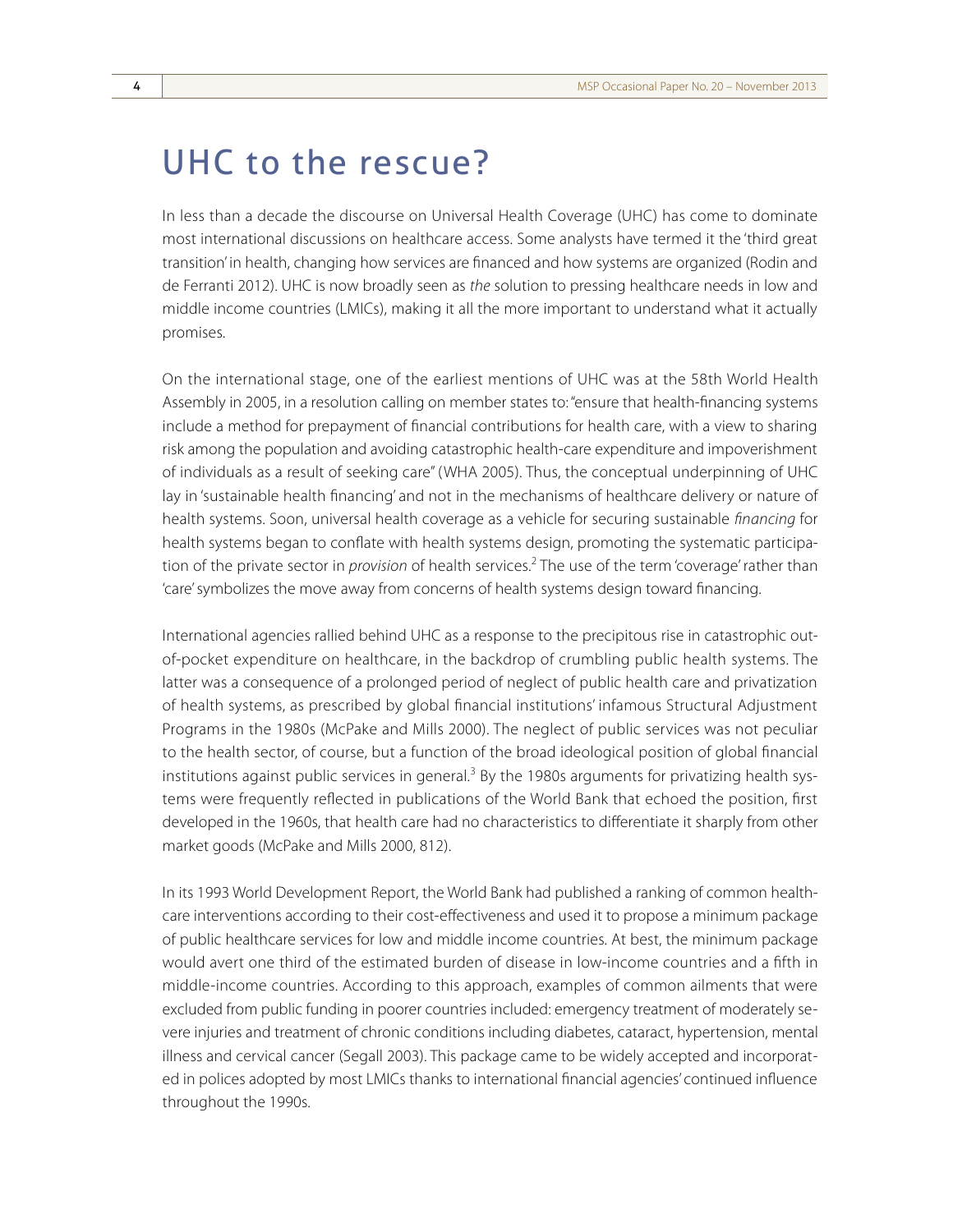### UHC to the rescue?

In less than a decade the discourse on Universal Health Coverage (UHC) has come to dominate most international discussions on healthcare access. Some analysts have termed it the 'third great transition' in health, changing how services are financed and how systems are organized (Rodin and de Ferranti 2012). UHC is now broadly seen as *the* solution to pressing healthcare needs in low and middle income countries (LMICs), making it all the more important to understand what it actually promises.

On the international stage, one of the earliest mentions of UHC was at the 58th World Health Assembly in 2005, in a resolution calling on member states to: "ensure that health-financing systems include a method for prepayment of financial contributions for health care, with a view to sharing risk among the population and avoiding catastrophic health-care expenditure and impoverishment of individuals as a result of seeking care" (WHA 2005). Thus, the conceptual underpinning of UHC lay in 'sustainable health financing' and not in the mechanisms of healthcare delivery or nature of health systems. Soon, universal health coverage as a vehicle for securing sustainable *financing* for health systems began to conflate with health systems design, promoting the systematic participation of the private sector in *provision* of health services.<sup>2</sup> The use of the term 'coverage' rather than 'care' symbolizes the move away from concerns of health systems design toward financing.

International agencies rallied behind UHC as a response to the precipitous rise in catastrophic outof-pocket expenditure on healthcare, in the backdrop of crumbling public health systems. The latter was a consequence of a prolonged period of neglect of public health care and privatization of health systems, as prescribed by global financial institutions' infamous Structural Adjustment Programs in the 1980s (McPake and Mills 2000). The neglect of public services was not peculiar to the health sector, of course, but a function of the broad ideological position of global financial institutions against public services in general.<sup>3</sup> By the 1980s arguments for privatizing health systems were frequently reflected in publications of the World Bank that echoed the position, first developed in the 1960s, that health care had no characteristics to differentiate it sharply from other market goods (McPake and Mills 2000, 812).

In its 1993 World Development Report, the World Bank had published a ranking of common healthcare interventions according to their cost-effectiveness and used it to propose a minimum package of public healthcare services for low and middle income countries. At best, the minimum package would avert one third of the estimated burden of disease in low-income countries and a fifth in middle-income countries. According to this approach, examples of common ailments that were excluded from public funding in poorer countries included: emergency treatment of moderately severe injuries and treatment of chronic conditions including diabetes, cataract, hypertension, mental illness and cervical cancer (Segall 2003). This package came to be widely accepted and incorporated in polices adopted by most LMICs thanks to international financial agencies' continued influence throughout the 1990s.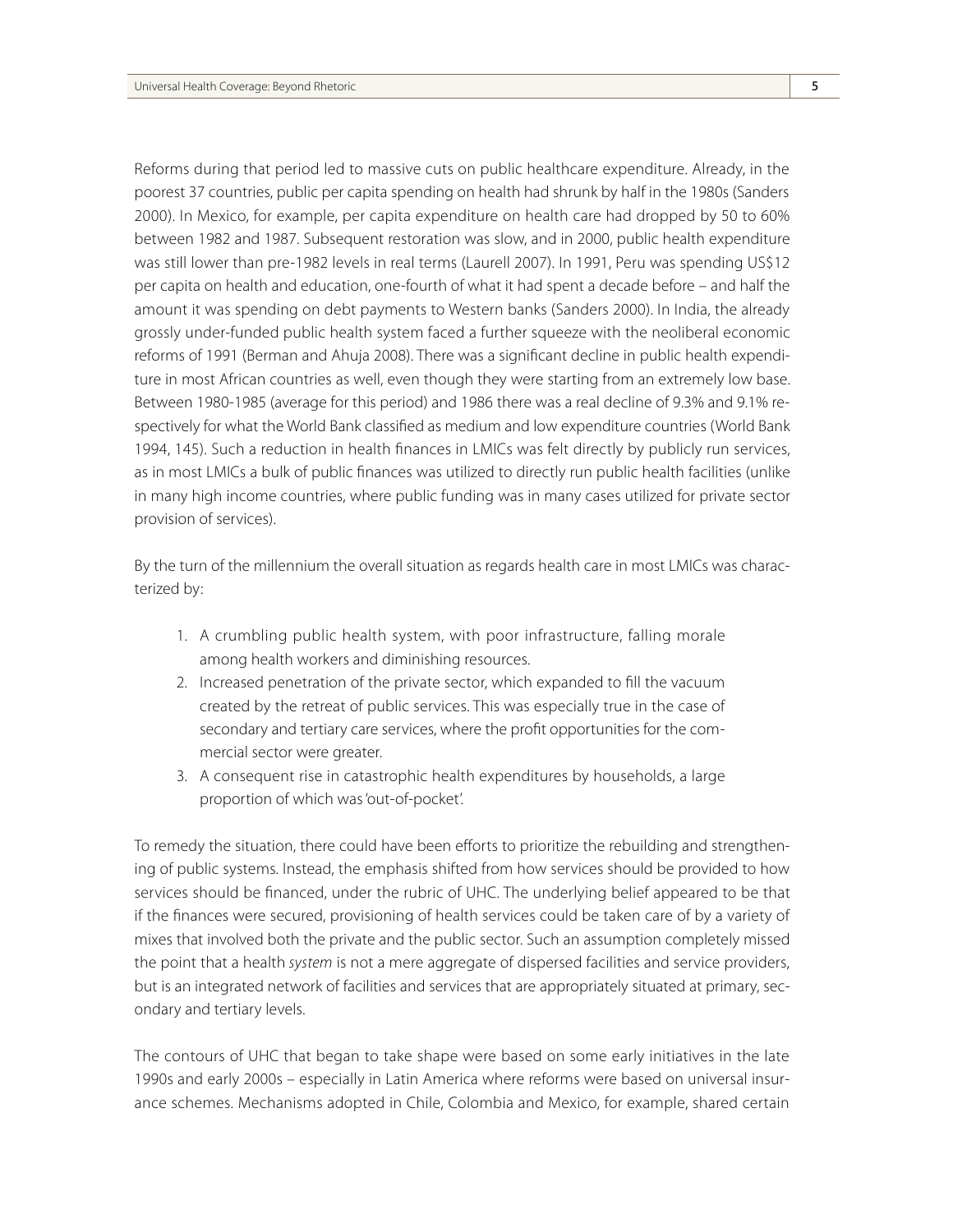Reforms during that period led to massive cuts on public healthcare expenditure. Already, in the poorest 37 countries, public per capita spending on health had shrunk by half in the 1980s (Sanders 2000). In Mexico, for example, per capita expenditure on health care had dropped by 50 to 60% between 1982 and 1987. Subsequent restoration was slow, and in 2000, public health expenditure was still lower than pre-1982 levels in real terms (Laurell 2007). In 1991, Peru was spending US\$12 per capita on health and education, one-fourth of what it had spent a decade before – and half the amount it was spending on debt payments to Western banks (Sanders 2000). In India, the already grossly under-funded public health system faced a further squeeze with the neoliberal economic reforms of 1991 (Berman and Ahuja 2008). There was a significant decline in public health expenditure in most African countries as well, even though they were starting from an extremely low base. Between 1980-1985 (average for this period) and 1986 there was a real decline of 9.3% and 9.1% respectively for what the World Bank classified as medium and low expenditure countries (World Bank 1994, 145). Such a reduction in health finances in LMICs was felt directly by publicly run services, as in most LMICs a bulk of public finances was utilized to directly run public health facilities (unlike in many high income countries, where public funding was in many cases utilized for private sector provision of services).

By the turn of the millennium the overall situation as regards health care in most LMICs was characterized by:

- 1. A crumbling public health system, with poor infrastructure, falling morale among health workers and diminishing resources.
- 2. Increased penetration of the private sector, which expanded to fill the vacuum created by the retreat of public services. This was especially true in the case of secondary and tertiary care services, where the profit opportunities for the commercial sector were greater.
- 3. A consequent rise in catastrophic health expenditures by households, a large proportion of which was 'out-of-pocket'.

To remedy the situation, there could have been efforts to prioritize the rebuilding and strengthening of public systems. Instead, the emphasis shifted from how services should be provided to how services should be financed, under the rubric of UHC. The underlying belief appeared to be that if the finances were secured, provisioning of health services could be taken care of by a variety of mixes that involved both the private and the public sector. Such an assumption completely missed the point that a health *system* is not a mere aggregate of dispersed facilities and service providers, but is an integrated network of facilities and services that are appropriately situated at primary, secondary and tertiary levels.

The contours of UHC that began to take shape were based on some early initiatives in the late 1990s and early 2000s – especially in Latin America where reforms were based on universal insurance schemes. Mechanisms adopted in Chile, Colombia and Mexico, for example, shared certain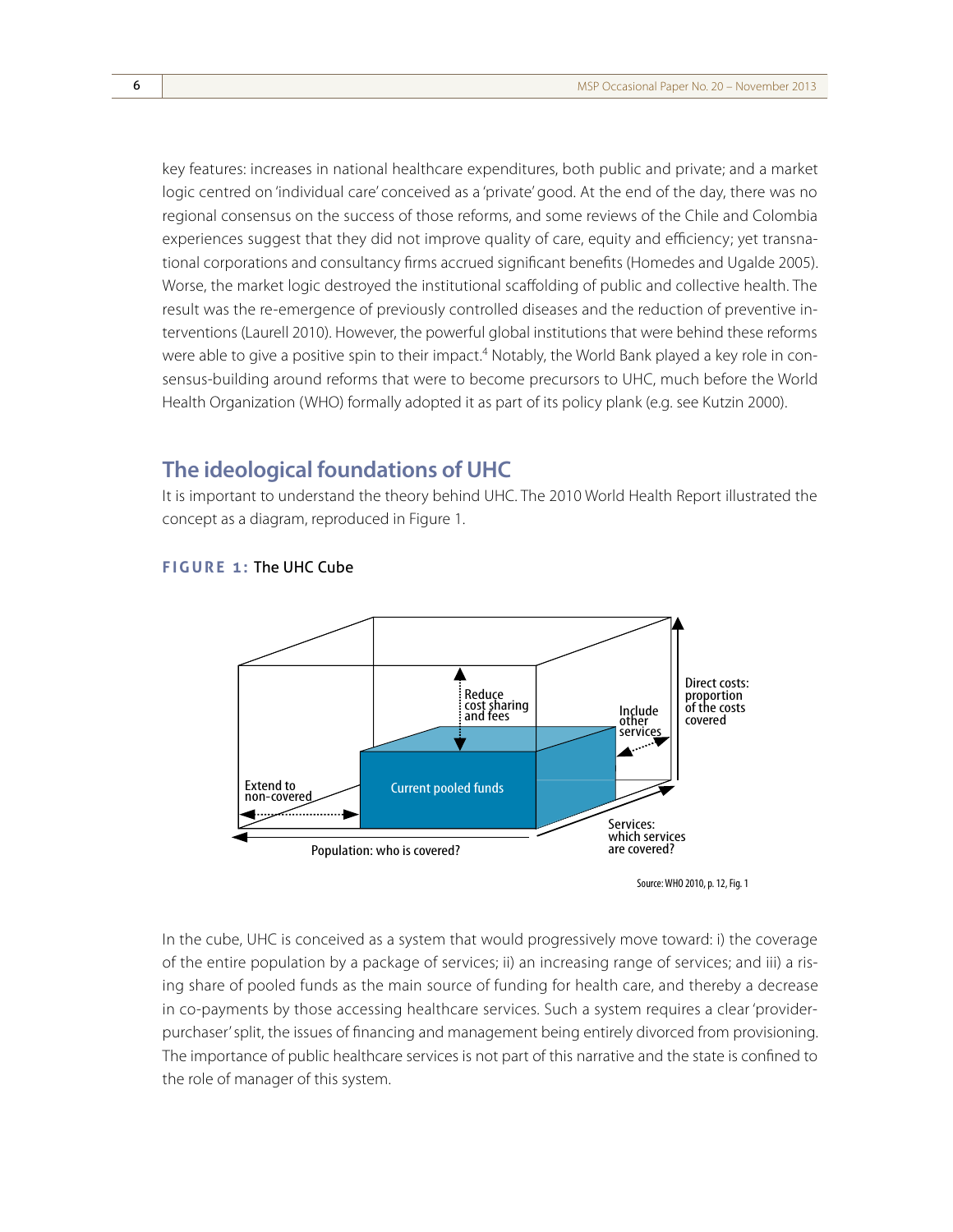key features: increases in national healthcare expenditures, both public and private; and a market logic centred on 'individual care' conceived as a 'private' good. At the end of the day, there was no regional consensus on the success of those reforms, and some reviews of the Chile and Colombia <sup>-</sup><br>experiences suggest that they did not improve quality of care, equity and efficiency; yet transnational corporations and consultancy firms accrued significant benefits (Homedes and Ugalde 2005). Worse, the market logic destroyed the institutional scaffolding of public and collective health. The result was the re-emergence of previously controlled diseases and the reduction of preventive interventions (Laurell 2010). However, the powerful global institutions that were behind these reforms were able to give a positive spin to their impact.<sup>4</sup> Notably, the World Bank played a key role in consensus-building around reforms that were to become precursors to UHC, much before the World Health Organization (WHO) formally adopted it as part of its policy plank (e.g. see Kutzin 2000).  $\alpha$  corresponding must must must make choices and trade-os, particularly in  $\alpha$ force policy-makers to make the core areas ( $\frac{1}{2}$  are areas (Fig.  $\frac{1}{2}$  are areas (Fig.  $\frac{1}{2}$ ):  $\frac{1}{2}$ hypothetical country where about half the population is covered for about price precursors to once, much before the violid

#### **The ideological foundations of UHC**  $\epsilon$  100% of the population covered for 100% of the services that covered for 100% of the services that could be made available and for  $100$  of the cost, with no waiting lists. Each country list, with no waiting lists. Each country lists, with no waiting  $\alpha$

It is important to understand the theory behind UHC. The 2010 World Health Report illustrated the concept as a diagram, reproduced in Figure 1. funds. Waiting times for services may vary greatly from one country to another,



#### **FIGURE 1:** The UHC Cube

Source: WHO 2010, p. 12, Fig. 1

In the cube, UHC is conceived as a system that would progressively move toward: i) the coverage of the entire population by a package of services; ii) an increasing range of services; and iii) a ris-**12** ing share of pooled funds as the main source of funding for health care, and thereby a decrease in co-payments by those accessing healthcare services. Such a system requires a clear 'providerpurchaser' split, the issues of financing and management being entirely divorced from provisioning. The importance of public healthcare services is not part of this narrative and the state is confined to the role of manager of this system.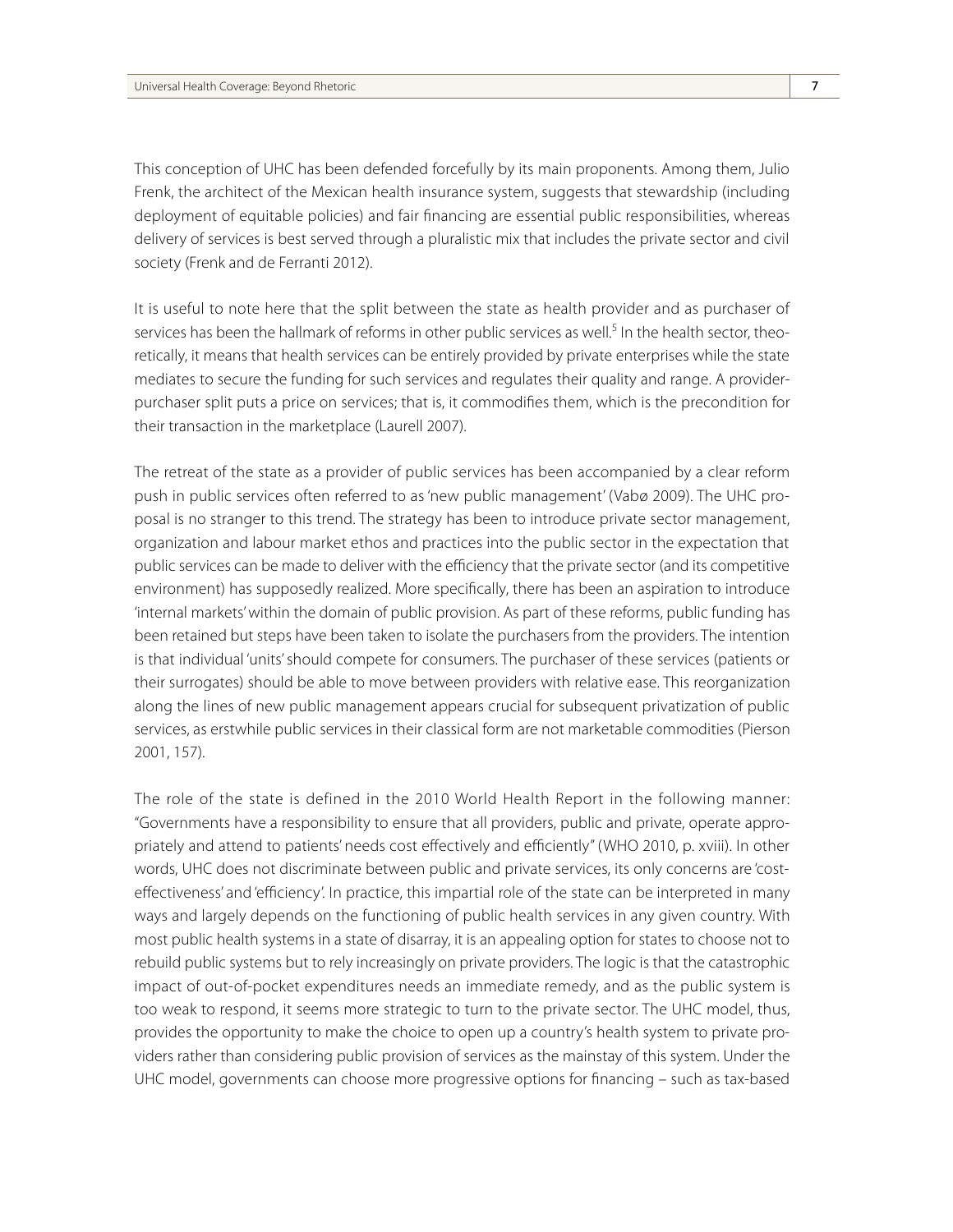This conception of UHC has been defended forcefully by its main proponents. Among them, Julio Frenk, the architect of the Mexican health insurance system, suggests that stewardship (including deployment of equitable policies) and fair financing are essential public responsibilities, whereas delivery of services is best served through a pluralistic mix that includes the private sector and civil society (Frenk and de Ferranti 2012).

It is useful to note here that the split between the state as health provider and as purchaser of services has been the hallmark of reforms in other public services as well.<sup>5</sup> In the health sector, theoretically, it means that health services can be entirely provided by private enterprises while the state mediates to secure the funding for such services and regulates their quality and range. A providerpurchaser split puts a price on services; that is, it commodifies them, which is the precondition for their transaction in the marketplace (Laurell 2007).

The retreat of the state as a provider of public services has been accompanied by a clear reform push in public services often referred to as 'new public management' (Vabø 2009). The UHC proposal is no stranger to this trend. The strategy has been to introduce private sector management, organization and labour market ethos and practices into the public sector in the expectation that public services can be made to deliver with the efficiency that the private sector (and its competitive environment) has supposedly realized. More specifically, there has been an aspiration to introduce 'internal markets' within the domain of public provision. As part of these reforms, public funding has been retained but steps have been taken to isolate the purchasers from the providers. The intention is that individual 'units' should compete for consumers. The purchaser of these services (patients or their surrogates) should be able to move between providers with relative ease. This reorganization along the lines of new public management appears crucial for subsequent privatization of public services, as erstwhile public services in their classical form are not marketable commodities (Pierson 2001, 157).

The role of the state is defined in the 2010 World Health Report in the following manner: "Governments have a responsibility to ensure that all providers, public and private, operate appropriately and attend to patients' needs cost effectively and efficiently" (WHO 2010, p. xviii). In other words, UHC does not discriminate between public and private services, its only concerns are 'costeffectiveness' and 'efficiency'. In practice, this impartial role of the state can be interpreted in many ways and largely depends on the functioning of public health services in any given country. With most public health systems in a state of disarray, it is an appealing option for states to choose not to rebuild public systems but to rely increasingly on private providers. The logic is that the catastrophic impact of out-of-pocket expenditures needs an immediate remedy, and as the public system is too weak to respond, it seems more strategic to turn to the private sector. The UHC model, thus, provides the opportunity to make the choice to open up a country's health system to private providers rather than considering public provision of services as the mainstay of this system. Under the UHC model, governments can choose more progressive options for financing – such as tax-based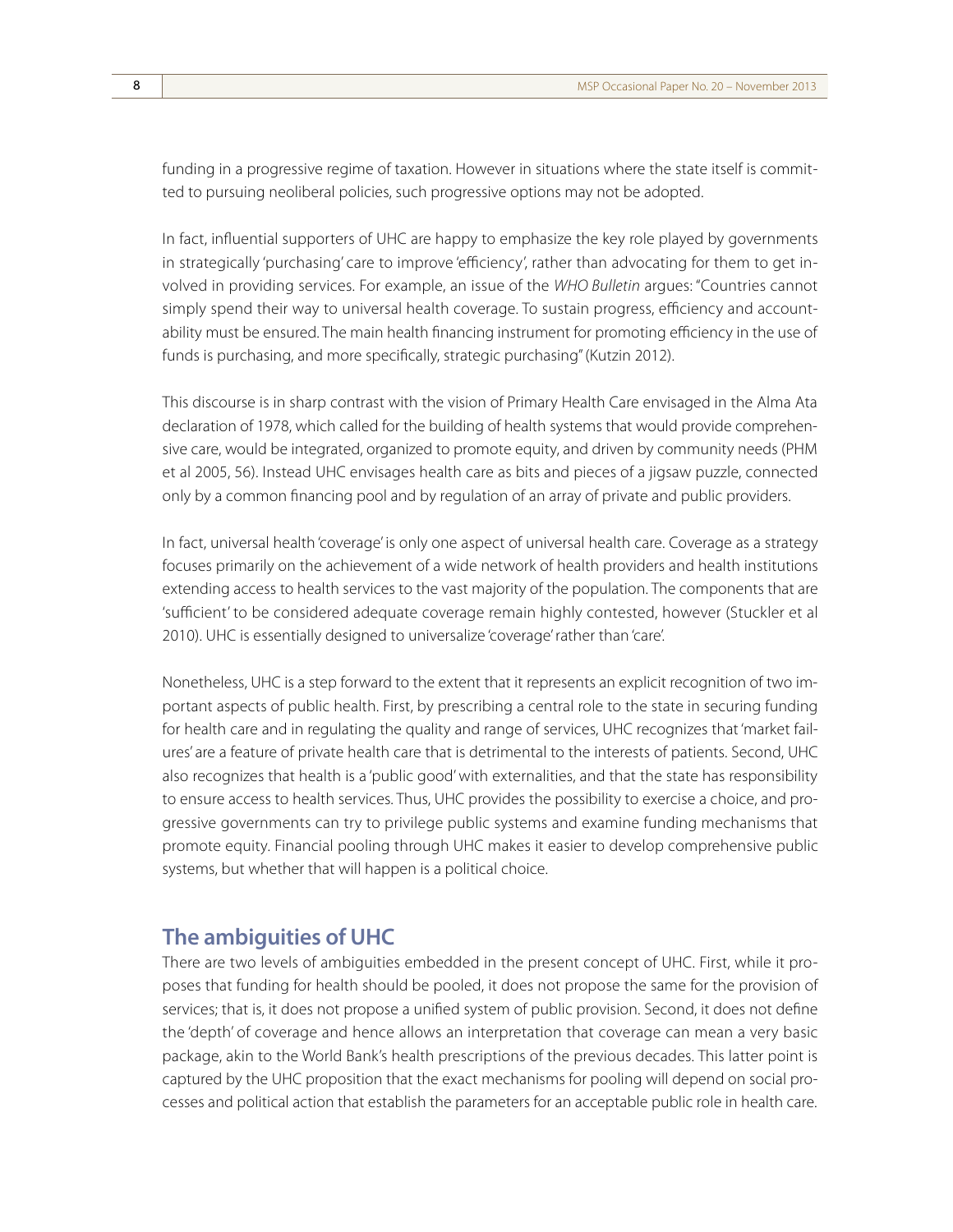funding in a progressive regime of taxation. However in situations where the state itself is committed to pursuing neoliberal policies, such progressive options may not be adopted.

In fact, influential supporters of UHC are happy to emphasize the key role played by governments in strategically 'purchasing' care to improve 'efficiency', rather than advocating for them to get involved in providing services. For example, an issue of the *WHO Bulletin* argues: "Countries cannot simply spend their way to universal health coverage. To sustain progress, efficiency and accountability must be ensured. The main health financing instrument for promoting efficiency in the use of funds is purchasing, and more specifically, strategic purchasing" (Kutzin 2012).

This discourse is in sharp contrast with the vision of Primary Health Care envisaged in the Alma Ata declaration of 1978, which called for the building of health systems that would provide comprehensive care, would be integrated, organized to promote equity, and driven by community needs (PHM et al 2005, 56). Instead UHC envisages health care as bits and pieces of a jigsaw puzzle, connected only by a common financing pool and by regulation of an array of private and public providers.

In fact, universal health 'coverage' is only one aspect of universal health care. Coverage as a strategy focuses primarily on the achievement of a wide network of health providers and health institutions extending access to health services to the vast majority of the population. The components that are 'sufficient' to be considered adequate coverage remain highly contested, however (Stuckler et al 2010). UHC is essentially designed to universalize 'coverage' rather than 'care'.

Nonetheless, UHC is a step forward to the extent that it represents an explicit recognition of two important aspects of public health. First, by prescribing a central role to the state in securing funding for health care and in regulating the quality and range of services, UHC recognizes that 'market failures' are a feature of private health care that is detrimental to the interests of patients. Second, UHC also recognizes that health is a 'public good' with externalities, and that the state has responsibility to ensure access to health services. Thus, UHC provides the possibility to exercise a choice, and progressive governments can try to privilege public systems and examine funding mechanisms that promote equity. Financial pooling through UHC makes it easier to develop comprehensive public systems, but whether that will happen is a political choice.

#### **The ambiguities of UHC**

There are two levels of ambiguities embedded in the present concept of UHC. First, while it proposes that funding for health should be pooled, it does not propose the same for the provision of services; that is, it does not propose a unified system of public provision. Second, it does not define the 'depth' of coverage and hence allows an interpretation that coverage can mean a very basic package, akin to the World Bank's health prescriptions of the previous decades. This latter point is captured by the UHC proposition that the exact mechanisms for pooling will depend on social processes and political action that establish the parameters for an acceptable public role in health care.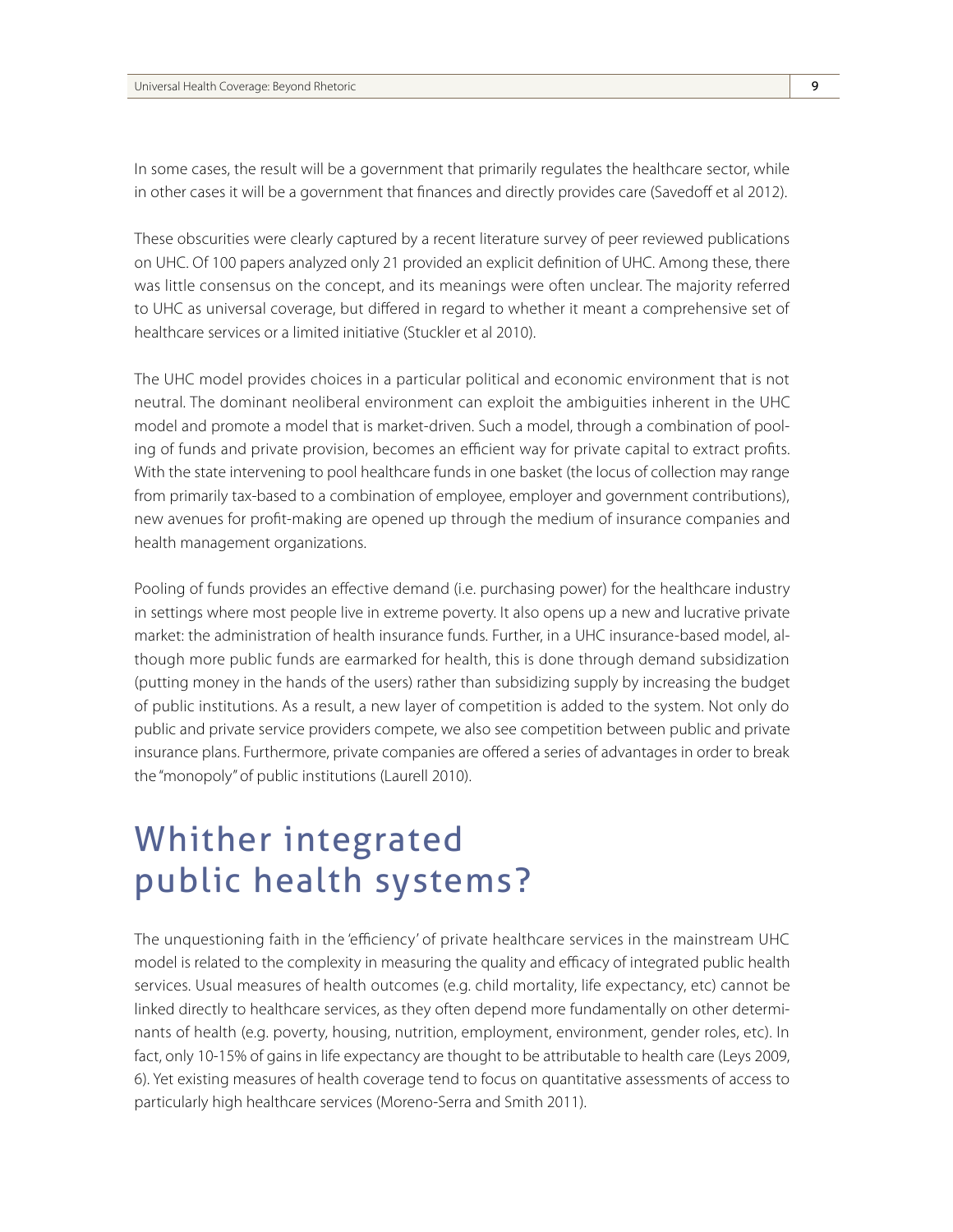In some cases, the result will be a government that primarily regulates the healthcare sector, while in other cases it will be a government that finances and directly provides care (Savedoff et al 2012).

These obscurities were clearly captured by a recent literature survey of peer reviewed publications on UHC. Of 100 papers analyzed only 21 provided an explicit definition of UHC. Among these, there was little consensus on the concept, and its meanings were often unclear. The majority referred to UHC as universal coverage, but differed in regard to whether it meant a comprehensive set of healthcare services or a limited initiative (Stuckler et al 2010).

The UHC model provides choices in a particular political and economic environment that is not neutral. The dominant neoliberal environment can exploit the ambiguities inherent in the UHC model and promote a model that is market-driven. Such a model, through a combination of pooling of funds and private provision, becomes an efficient way for private capital to extract profits. With the state intervening to pool healthcare funds in one basket (the locus of collection may range from primarily tax-based to a combination of employee, employer and government contributions), new avenues for profit-making are opened up through the medium of insurance companies and health management organizations.

Pooling of funds provides an effective demand (i.e. purchasing power) for the healthcare industry in settings where most people live in extreme poverty. It also opens up a new and lucrative private market: the administration of health insurance funds. Further, in a UHC insurance-based model, although more public funds are earmarked for health, this is done through demand subsidization (putting money in the hands of the users) rather than subsidizing supply by increasing the budget of public institutions. As a result, a new layer of competition is added to the system. Not only do public and private service providers compete, we also see competition between public and private insurance plans. Furthermore, private companies are offered a series of advantages in order to break the "monopoly" of public institutions (Laurell 2010).

### Whither integrated public health systems?

The unquestioning faith in the 'efficiency' of private healthcare services in the mainstream UHC model is related to the complexity in measuring the quality and efficacy of integrated public health services. Usual measures of health outcomes (e.g. child mortality, life expectancy, etc) cannot be linked directly to healthcare services, as they often depend more fundamentally on other determinants of health (e.g. poverty, housing, nutrition, employment, environment, gender roles, etc). In fact, only 10-15% of gains in life expectancy are thought to be attributable to health care (Leys 2009, 6). Yet existing measures of health coverage tend to focus on quantitative assessments of access to particularly high healthcare services (Moreno-Serra and Smith 2011).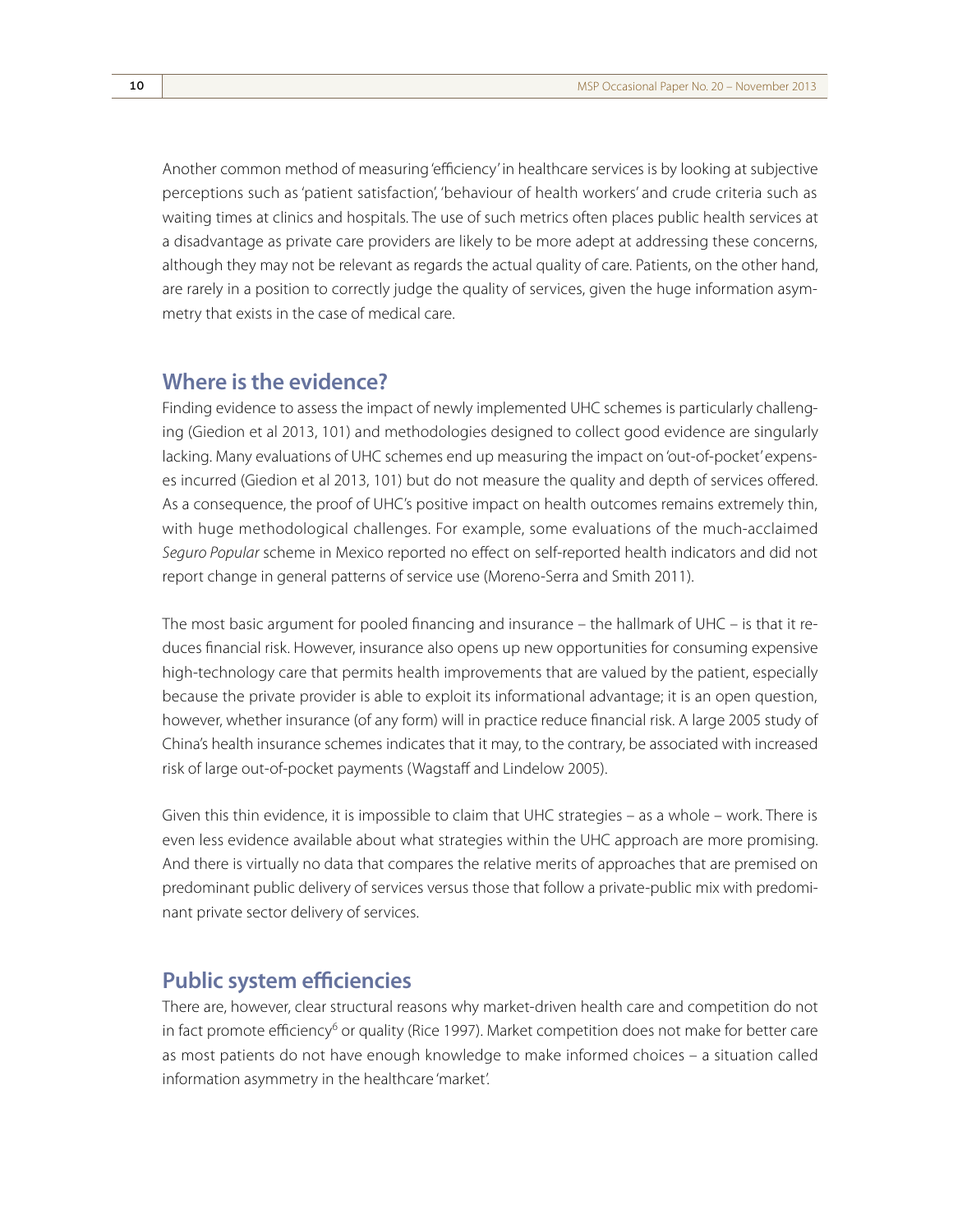Another common method of measuring 'efficiency' in healthcare services is by looking at subjective perceptions such as 'patient satisfaction', 'behaviour of health workers' and crude criteria such as waiting times at clinics and hospitals. The use of such metrics often places public health services at a disadvantage as private care providers are likely to be more adept at addressing these concerns, although they may not be relevant as regards the actual quality of care. Patients, on the other hand, are rarely in a position to correctly judge the quality of services, given the huge information asymmetry that exists in the case of medical care.

#### **Where is the evidence?**

Finding evidence to assess the impact of newly implemented UHC schemes is particularly challenging (Giedion et al 2013, 101) and methodologies designed to collect good evidence are singularly lacking. Many evaluations of UHC schemes end up measuring the impact on 'out-of-pocket' expenses incurred (Giedion et al 2013, 101) but do not measure the quality and depth of services offered. As a consequence, the proof of UHC's positive impact on health outcomes remains extremely thin, with huge methodological challenges. For example, some evaluations of the much-acclaimed *Seguro Popular* scheme in Mexico reported no effect on self-reported health indicators and did not report change in general patterns of service use (Moreno-Serra and Smith 2011).

The most basic argument for pooled financing and insurance – the hallmark of UHC – is that it reduces financial risk. However, insurance also opens up new opportunities for consuming expensive high-technology care that permits health improvements that are valued by the patient, especially because the private provider is able to exploit its informational advantage; it is an open question, however, whether insurance (of any form) will in practice reduce financial risk. A large 2005 study of China's health insurance schemes indicates that it may, to the contrary, be associated with increased risk of large out-of-pocket payments (Wagstaff and Lindelow 2005).

Given this thin evidence, it is impossible to claim that UHC strategies – as a whole – work. There is even less evidence available about what strategies within the UHC approach are more promising. And there is virtually no data that compares the relative merits of approaches that are premised on predominant public delivery of services versus those that follow a private-public mix with predominant private sector delivery of services.

#### **Public system efficiencies**

There are, however, clear structural reasons why market-driven health care and competition do not in fact promote efficiency<sup>6</sup> or quality (Rice 1997). Market competition does not make for better care as most patients do not have enough knowledge to make informed choices – a situation called information asymmetry in the healthcare 'market'.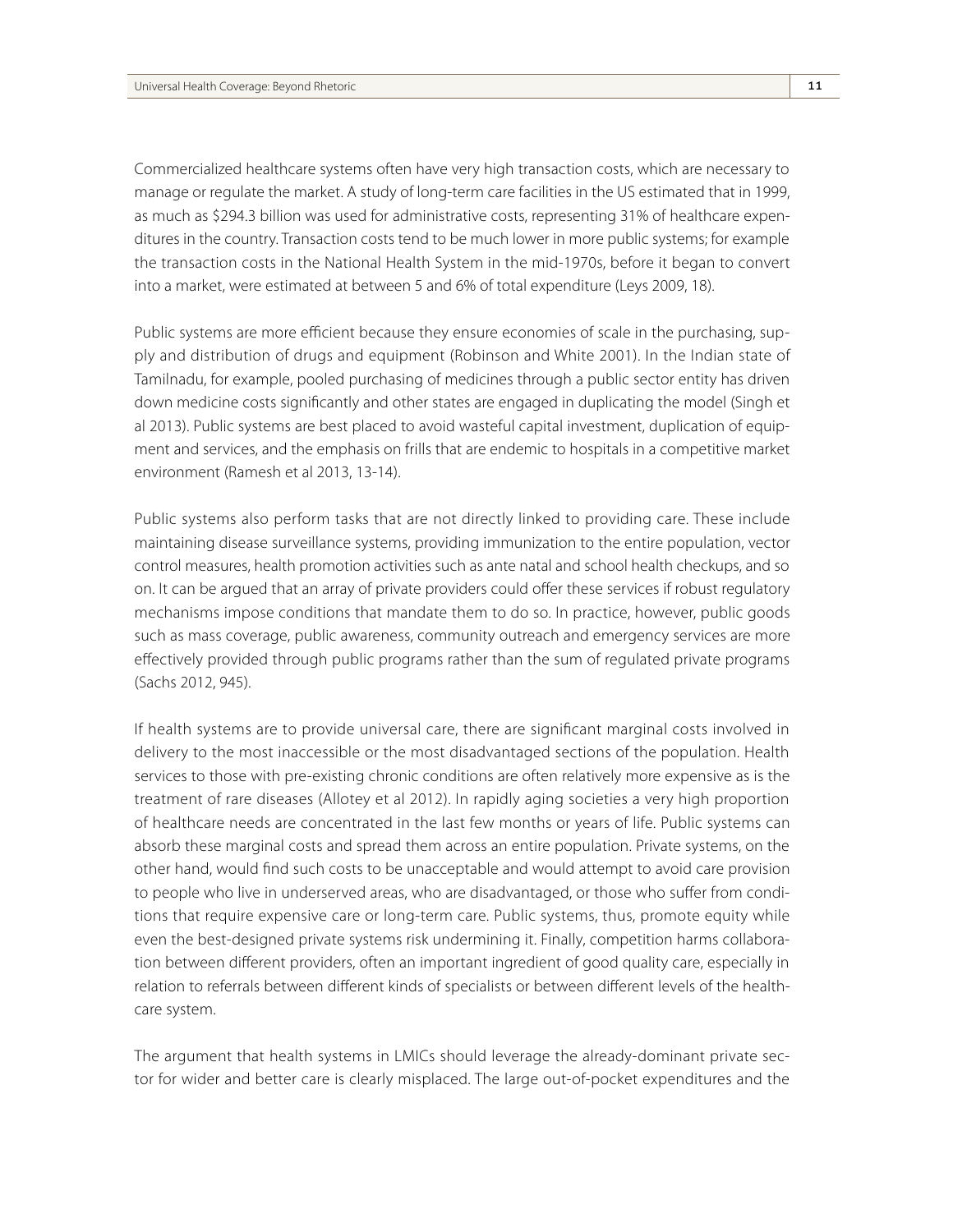Commercialized healthcare systems often have very high transaction costs, which are necessary to manage or regulate the market. A study of long-term care facilities in the US estimated that in 1999, as much as \$294.3 billion was used for administrative costs, representing 31% of healthcare expenditures in the country. Transaction costs tend to be much lower in more public systems; for example the transaction costs in the National Health System in the mid-1970s, before it began to convert into a market, were estimated at between 5 and 6% of total expenditure (Leys 2009, 18).

Public systems are more efficient because they ensure economies of scale in the purchasing, supply and distribution of drugs and equipment (Robinson and White 2001). In the Indian state of Tamilnadu, for example, pooled purchasing of medicines through a public sector entity has driven down medicine costs significantly and other states are engaged in duplicating the model (Singh et al 2013). Public systems are best placed to avoid wasteful capital investment, duplication of equipment and services, and the emphasis on frills that are endemic to hospitals in a competitive market environment (Ramesh et al 2013, 13-14).

Public systems also perform tasks that are not directly linked to providing care. These include maintaining disease surveillance systems, providing immunization to the entire population, vector control measures, health promotion activities such as ante natal and school health checkups, and so on. It can be argued that an array of private providers could offer these services if robust regulatory mechanisms impose conditions that mandate them to do so. In practice, however, public goods such as mass coverage, public awareness, community outreach and emergency services are more effectively provided through public programs rather than the sum of regulated private programs (Sachs 2012, 945).

If health systems are to provide universal care, there are significant marginal costs involved in delivery to the most inaccessible or the most disadvantaged sections of the population. Health services to those with pre-existing chronic conditions are often relatively more expensive as is the treatment of rare diseases (Allotey et al 2012). In rapidly aging societies a very high proportion of healthcare needs are concentrated in the last few months or years of life. Public systems can absorb these marginal costs and spread them across an entire population. Private systems, on the other hand, would find such costs to be unacceptable and would attempt to avoid care provision to people who live in underserved areas, who are disadvantaged, or those who suffer from conditions that require expensive care or long-term care. Public systems, thus, promote equity while even the best-designed private systems risk undermining it. Finally, competition harms collaboration between different providers, often an important ingredient of good quality care, especially in relation to referrals between different kinds of specialists or between different levels of the healthcare system.

The argument that health systems in LMICs should leverage the already-dominant private sector for wider and better care is clearly misplaced. The large out-of-pocket expenditures and the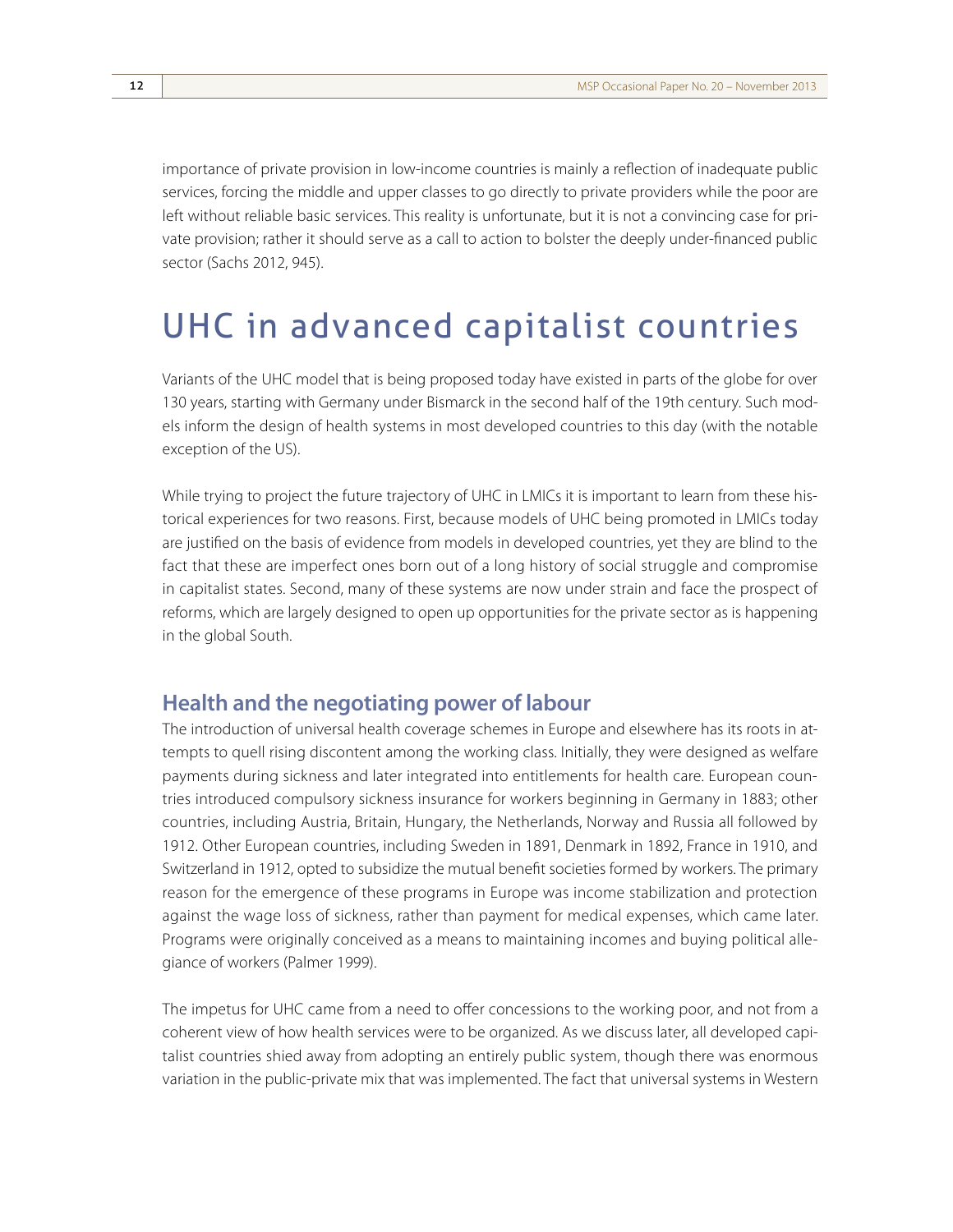importance of private provision in low-income countries is mainly a reflection of inadequate public services, forcing the middle and upper classes to go directly to private providers while the poor are left without reliable basic services. This reality is unfortunate, but it is not a convincing case for private provision; rather it should serve as a call to action to bolster the deeply under-financed public sector (Sachs 2012, 945).

### UHC in advanced capitalist countries

Variants of the UHC model that is being proposed today have existed in parts of the globe for over 130 years, starting with Germany under Bismarck in the second half of the 19th century. Such models inform the design of health systems in most developed countries to this day (with the notable exception of the US).

While trying to project the future trajectory of UHC in LMICs it is important to learn from these historical experiences for two reasons. First, because models of UHC being promoted in LMICs today are justified on the basis of evidence from models in developed countries, yet they are blind to the fact that these are imperfect ones born out of a long history of social struggle and compromise in capitalist states. Second, many of these systems are now under strain and face the prospect of reforms, which are largely designed to open up opportunities for the private sector as is happening in the global South.

#### **Health and the negotiating power of labour**

The introduction of universal health coverage schemes in Europe and elsewhere has its roots in attempts to quell rising discontent among the working class. Initially, they were designed as welfare payments during sickness and later integrated into entitlements for health care. European countries introduced compulsory sickness insurance for workers beginning in Germany in 1883; other countries, including Austria, Britain, Hungary, the Netherlands, Norway and Russia all followed by 1912. Other European countries, including Sweden in 1891, Denmark in 1892, France in 1910, and Switzerland in 1912, opted to subsidize the mutual benefit societies formed by workers. The primary reason for the emergence of these programs in Europe was income stabilization and protection against the wage loss of sickness, rather than payment for medical expenses, which came later. Programs were originally conceived as a means to maintaining incomes and buying political allegiance of workers (Palmer 1999).

The impetus for UHC came from a need to offer concessions to the working poor, and not from a coherent view of how health services were to be organized. As we discuss later, all developed capitalist countries shied away from adopting an entirely public system, though there was enormous variation in the public-private mix that was implemented. The fact that universal systems in Western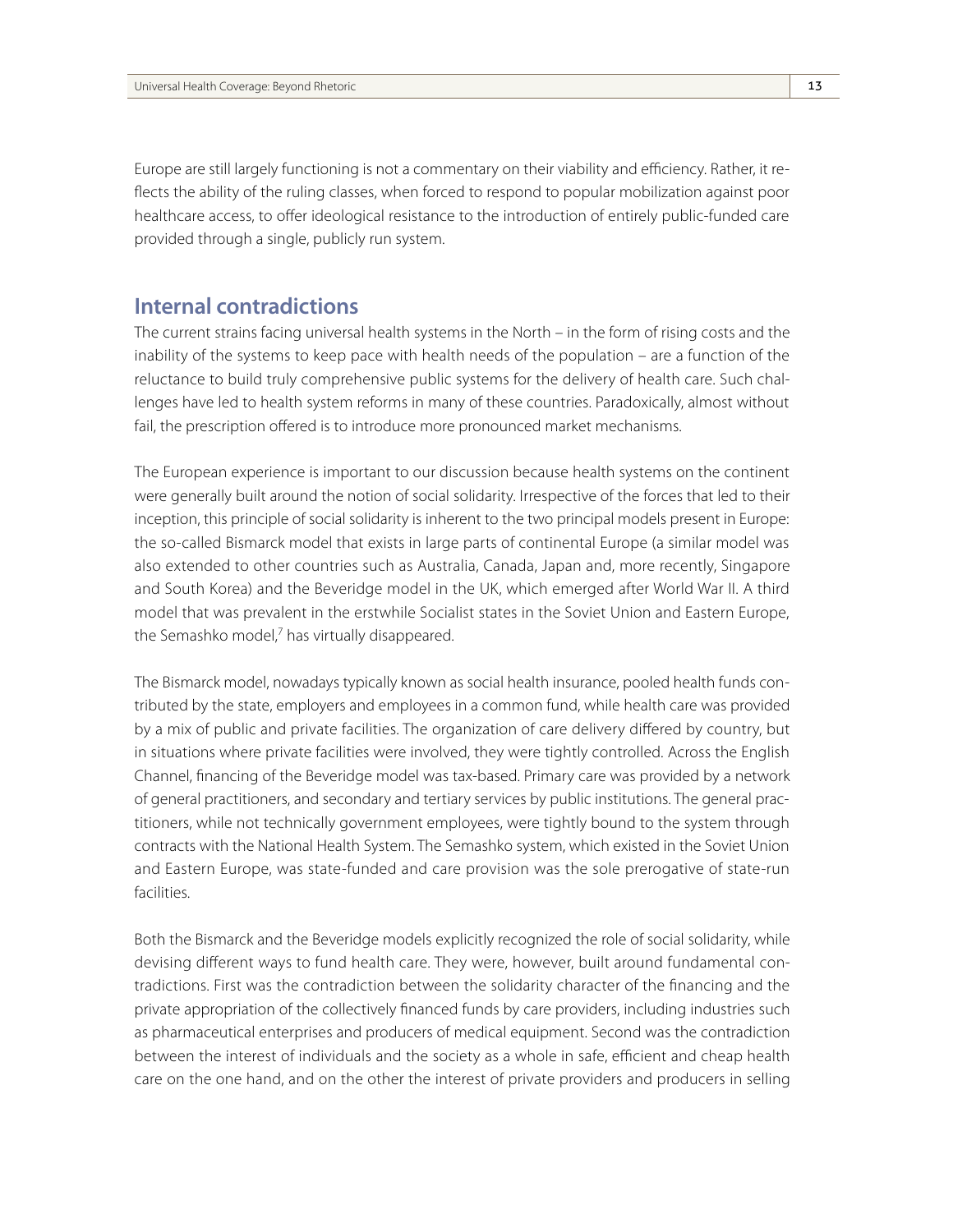Europe are still largely functioning is not a commentary on their viability and efficiency. Rather, it reflects the ability of the ruling classes, when forced to respond to popular mobilization against poor healthcare access, to offer ideological resistance to the introduction of entirely public-funded care provided through a single, publicly run system.

#### **Internal contradictions**

The current strains facing universal health systems in the North – in the form of rising costs and the inability of the systems to keep pace with health needs of the population – are a function of the reluctance to build truly comprehensive public systems for the delivery of health care. Such challenges have led to health system reforms in many of these countries. Paradoxically, almost without fail, the prescription offered is to introduce more pronounced market mechanisms.

The European experience is important to our discussion because health systems on the continent were generally built around the notion of social solidarity. Irrespective of the forces that led to their inception, this principle of social solidarity is inherent to the two principal models present in Europe: the so-called Bismarck model that exists in large parts of continental Europe (a similar model was also extended to other countries such as Australia, Canada, Japan and, more recently, Singapore and South Korea) and the Beveridge model in the UK, which emerged after World War II. A third model that was prevalent in the erstwhile Socialist states in the Soviet Union and Eastern Europe, the Semashko model,<sup>7</sup> has virtually disappeared.

The Bismarck model, nowadays typically known as social health insurance, pooled health funds contributed by the state, employers and employees in a common fund, while health care was provided by a mix of public and private facilities. The organization of care delivery differed by country, but in situations where private facilities were involved, they were tightly controlled. Across the English Channel, financing of the Beveridge model was tax-based. Primary care was provided by a network of general practitioners, and secondary and tertiary services by public institutions. The general practitioners, while not technically government employees, were tightly bound to the system through contracts with the National Health System. The Semashko system, which existed in the Soviet Union and Eastern Europe, was state-funded and care provision was the sole prerogative of state-run facilities.

Both the Bismarck and the Beveridge models explicitly recognized the role of social solidarity, while devising different ways to fund health care. They were, however, built around fundamental contradictions. First was the contradiction between the solidarity character of the financing and the private appropriation of the collectively financed funds by care providers, including industries such as pharmaceutical enterprises and producers of medical equipment. Second was the contradiction between the interest of individuals and the society as a whole in safe, efficient and cheap health care on the one hand, and on the other the interest of private providers and producers in selling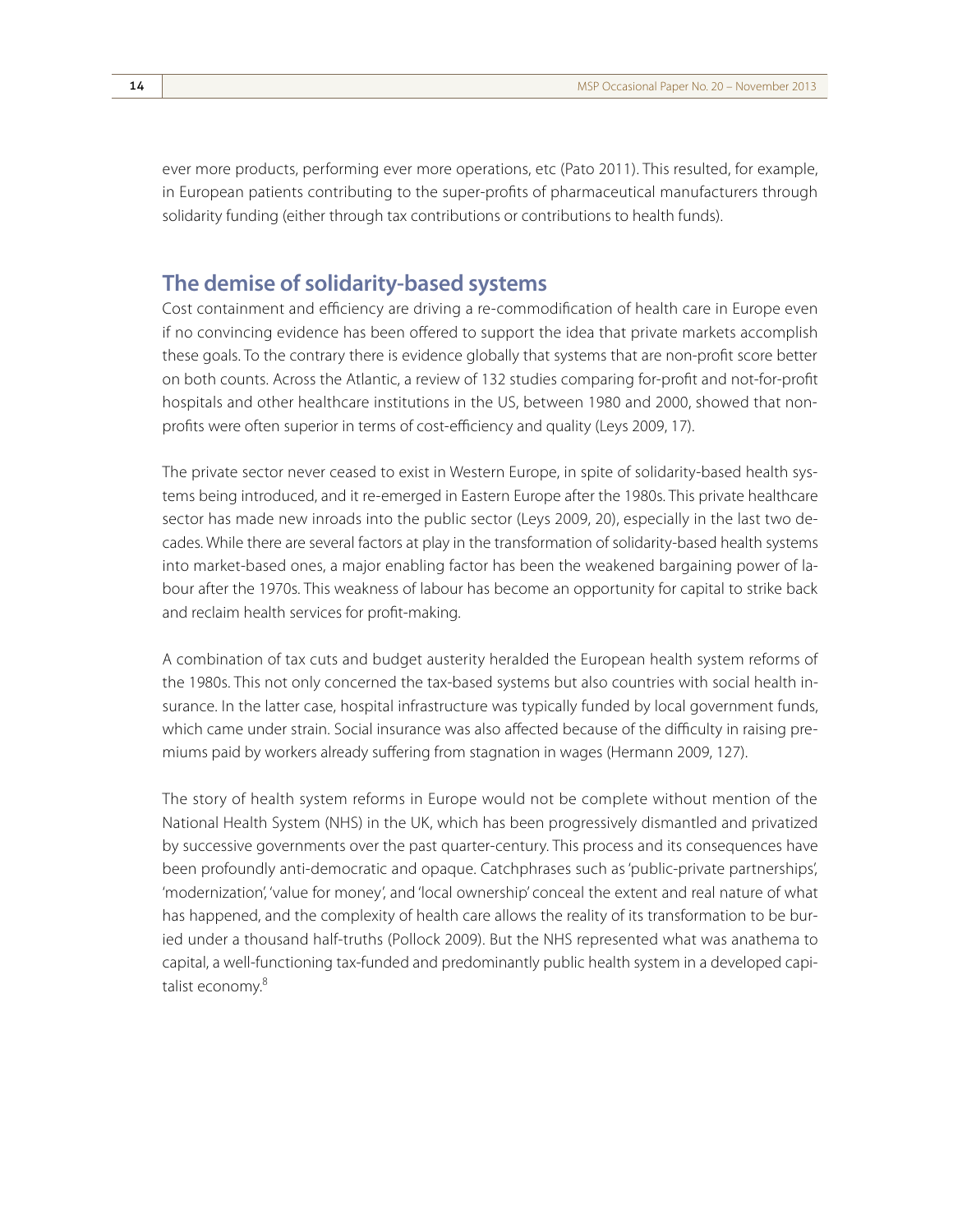ever more products, performing ever more operations, etc (Pato 2011). This resulted, for example, in European patients contributing to the super-profits of pharmaceutical manufacturers through solidarity funding (either through tax contributions or contributions to health funds).

#### **The demise of solidarity-based systems**

Cost containment and efficiency are driving a re-commodification of health care in Europe even if no convincing evidence has been offered to support the idea that private markets accomplish these goals. To the contrary there is evidence globally that systems that are non-profit score better on both counts. Across the Atlantic, a review of 132 studies comparing for-profit and not-for-profit hospitals and other healthcare institutions in the US, between 1980 and 2000, showed that nonprofits were often superior in terms of cost-efficiency and quality (Leys 2009, 17).

The private sector never ceased to exist in Western Europe, in spite of solidarity-based health systems being introduced, and it re-emerged in Eastern Europe after the 1980s. This private healthcare sector has made new inroads into the public sector (Leys 2009, 20), especially in the last two decades. While there are several factors at play in the transformation of solidarity-based health systems into market-based ones, a major enabling factor has been the weakened bargaining power of labour after the 1970s. This weakness of labour has become an opportunity for capital to strike back and reclaim health services for profit-making.

A combination of tax cuts and budget austerity heralded the European health system reforms of the 1980s. This not only concerned the tax-based systems but also countries with social health insurance. In the latter case, hospital infrastructure was typically funded by local government funds, which came under strain. Social insurance was also affected because of the difficulty in raising premiums paid by workers already suffering from stagnation in wages (Hermann 2009, 127).

The story of health system reforms in Europe would not be complete without mention of the National Health System (NHS) in the UK, which has been progressively dismantled and privatized by successive governments over the past quarter-century. This process and its consequences have been profoundly anti-democratic and opaque. Catchphrases such as 'public-private partnerships', 'modernization', 'value for money', and 'local ownership' conceal the extent and real nature of what has happened, and the complexity of health care allows the reality of its transformation to be buried under a thousand half-truths (Pollock 2009). But the NHS represented what was anathema to capital, a well-functioning tax-funded and predominantly public health system in a developed capitalist economy.<sup>8</sup>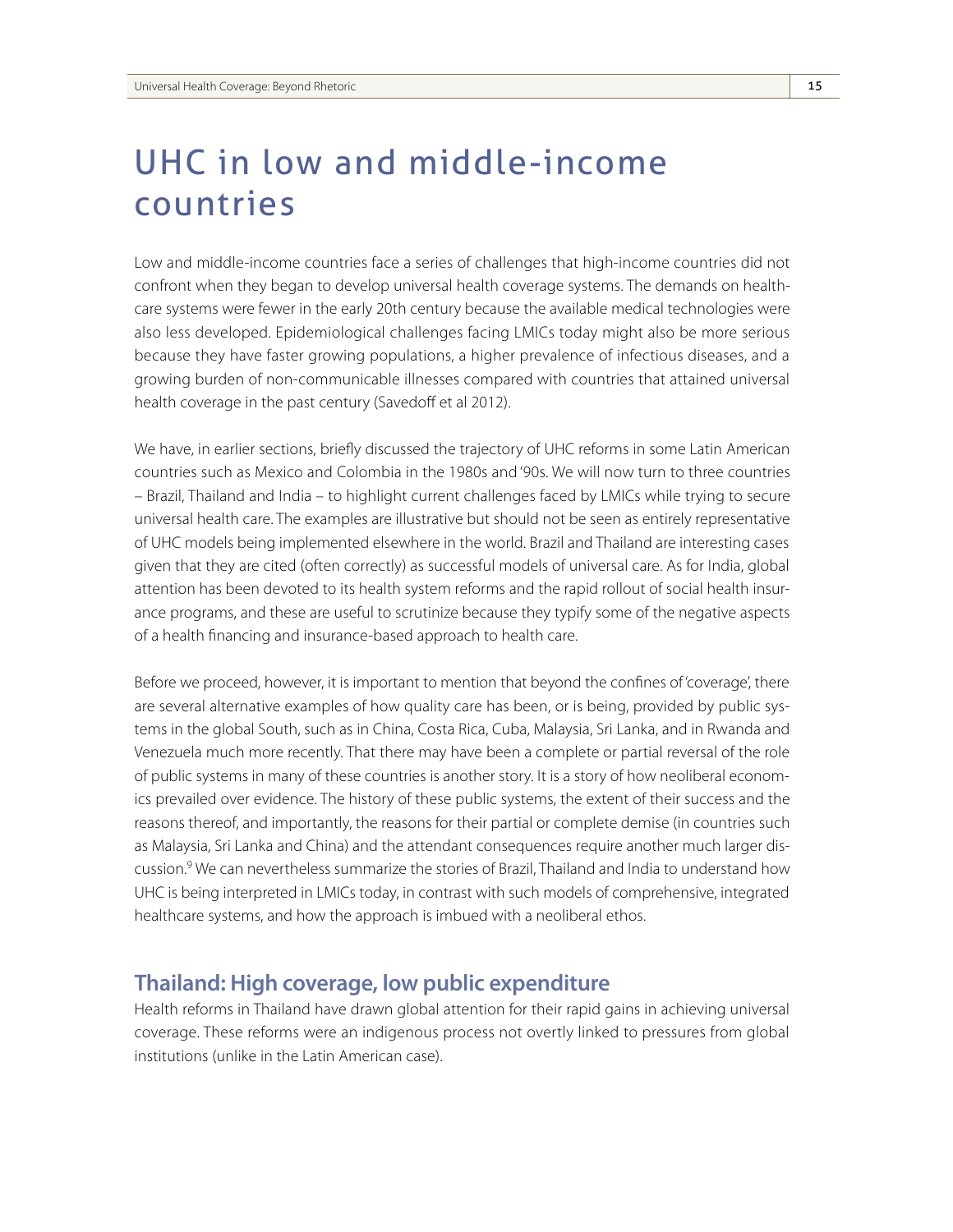### UHC in low and middle-income countries

Low and middle-income countries face a series of challenges that high-income countries did not confront when they began to develop universal health coverage systems. The demands on healthcare systems were fewer in the early 20th century because the available medical technologies were also less developed. Epidemiological challenges facing LMICs today might also be more serious because they have faster growing populations, a higher prevalence of infectious diseases, and a growing burden of non-communicable illnesses compared with countries that attained universal health coverage in the past century (Savedoff et al 2012).

We have, in earlier sections, briefly discussed the trajectory of UHC reforms in some Latin American countries such as Mexico and Colombia in the 1980s and '90s. We will now turn to three countries – Brazil, Thailand and India – to highlight current challenges faced by LMICs while trying to secure universal health care. The examples are illustrative but should not be seen as entirely representative of UHC models being implemented elsewhere in the world. Brazil and Thailand are interesting cases given that they are cited (often correctly) as successful models of universal care. As for India, global attention has been devoted to its health system reforms and the rapid rollout of social health insurance programs, and these are useful to scrutinize because they typify some of the negative aspects of a health financing and insurance-based approach to health care.

Before we proceed, however, it is important to mention that beyond the confines of 'coverage', there are several alternative examples of how quality care has been, or is being, provided by public systems in the global South, such as in China, Costa Rica, Cuba, Malaysia, Sri Lanka, and in Rwanda and Venezuela much more recently. That there may have been a complete or partial reversal of the role of public systems in many of these countries is another story. It is a story of how neoliberal economics prevailed over evidence. The history of these public systems, the extent of their success and the reasons thereof, and importantly, the reasons for their partial or complete demise (in countries such as Malaysia, Sri Lanka and China) and the attendant consequences require another much larger discussion.<sup>9</sup> We can nevertheless summarize the stories of Brazil, Thailand and India to understand how UHC is being interpreted in LMICs today, in contrast with such models of comprehensive, integrated healthcare systems, and how the approach is imbued with a neoliberal ethos.

#### **Thailand: High coverage, low public expenditure**

Health reforms in Thailand have drawn global attention for their rapid gains in achieving universal coverage. These reforms were an indigenous process not overtly linked to pressures from global institutions (unlike in the Latin American case).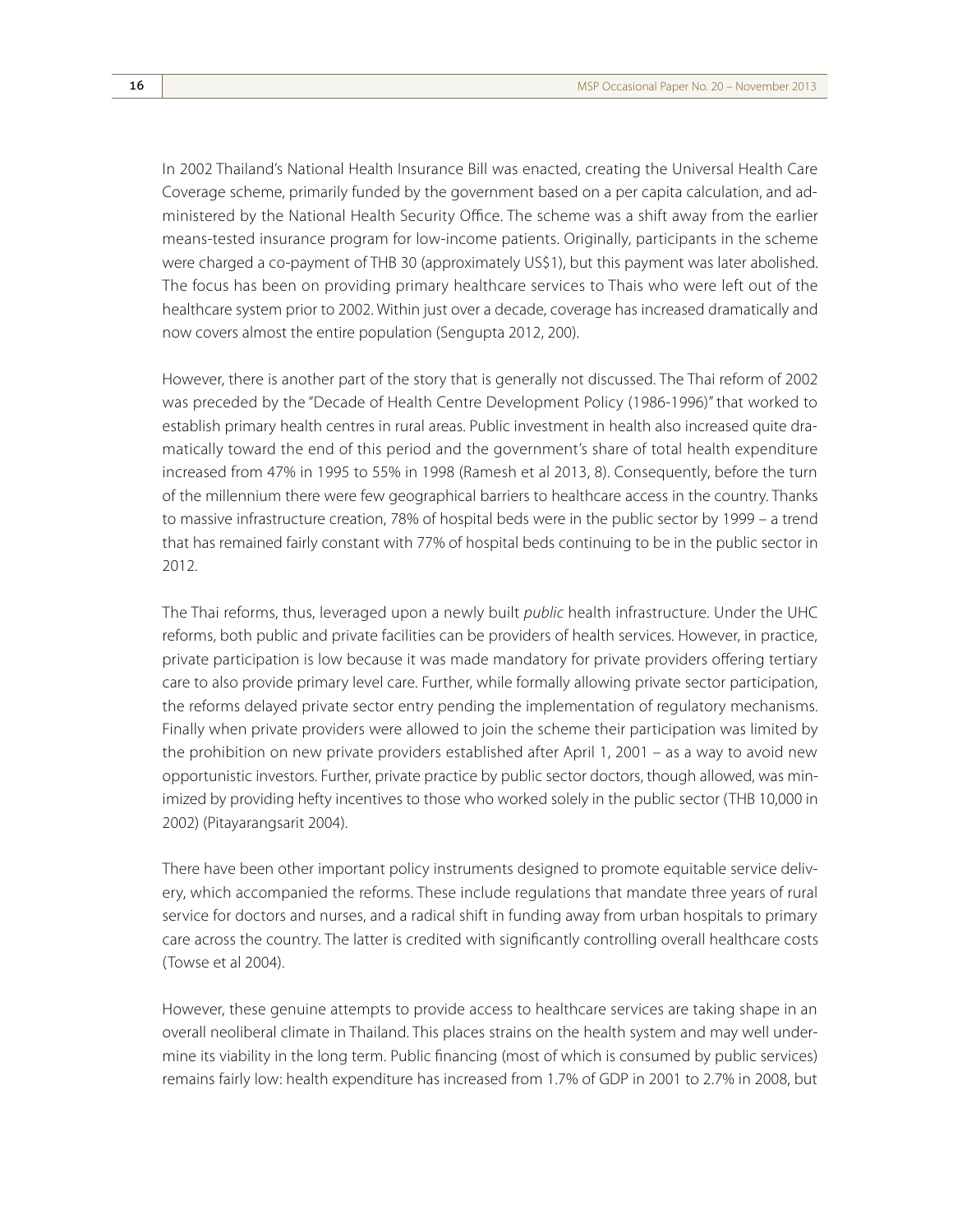In 2002 Thailand's National Health Insurance Bill was enacted, creating the Universal Health Care Coverage scheme, primarily funded by the government based on a per capita calculation, and administered by the National Health Security Office. The scheme was a shift away from the earlier means-tested insurance program for low-income patients. Originally, participants in the scheme were charged a co-payment of THB 30 (approximately US\$1), but this payment was later abolished. The focus has been on providing primary healthcare services to Thais who were left out of the healthcare system prior to 2002. Within just over a decade, coverage has increased dramatically and now covers almost the entire population (Sengupta 2012, 200).

However, there is another part of the story that is generally not discussed. The Thai reform of 2002 was preceded by the "Decade of Health Centre Development Policy (1986-1996)" that worked to establish primary health centres in rural areas. Public investment in health also increased quite dramatically toward the end of this period and the government's share of total health expenditure increased from 47% in 1995 to 55% in 1998 (Ramesh et al 2013, 8). Consequently, before the turn of the millennium there were few geographical barriers to healthcare access in the country. Thanks to massive infrastructure creation, 78% of hospital beds were in the public sector by 1999 – a trend that has remained fairly constant with 77% of hospital beds continuing to be in the public sector in 2012.

The Thai reforms, thus, leveraged upon a newly built *public* health infrastructure. Under the UHC reforms, both public and private facilities can be providers of health services. However, in practice, private participation is low because it was made mandatory for private providers offering tertiary care to also provide primary level care. Further, while formally allowing private sector participation, the reforms delayed private sector entry pending the implementation of regulatory mechanisms. Finally when private providers were allowed to join the scheme their participation was limited by the prohibition on new private providers established after April 1, 2001 – as a way to avoid new opportunistic investors. Further, private practice by public sector doctors, though allowed, was minimized by providing hefty incentives to those who worked solely in the public sector (THB 10,000 in 2002) (Pitayarangsarit 2004).

There have been other important policy instruments designed to promote equitable service delivery, which accompanied the reforms. These include regulations that mandate three years of rural service for doctors and nurses, and a radical shift in funding away from urban hospitals to primary care across the country. The latter is credited with significantly controlling overall healthcare costs (Towse et al 2004).

However, these genuine attempts to provide access to healthcare services are taking shape in an overall neoliberal climate in Thailand. This places strains on the health system and may well undermine its viability in the long term. Public financing (most of which is consumed by public services) remains fairly low: health expenditure has increased from 1.7% of GDP in 2001 to 2.7% in 2008, but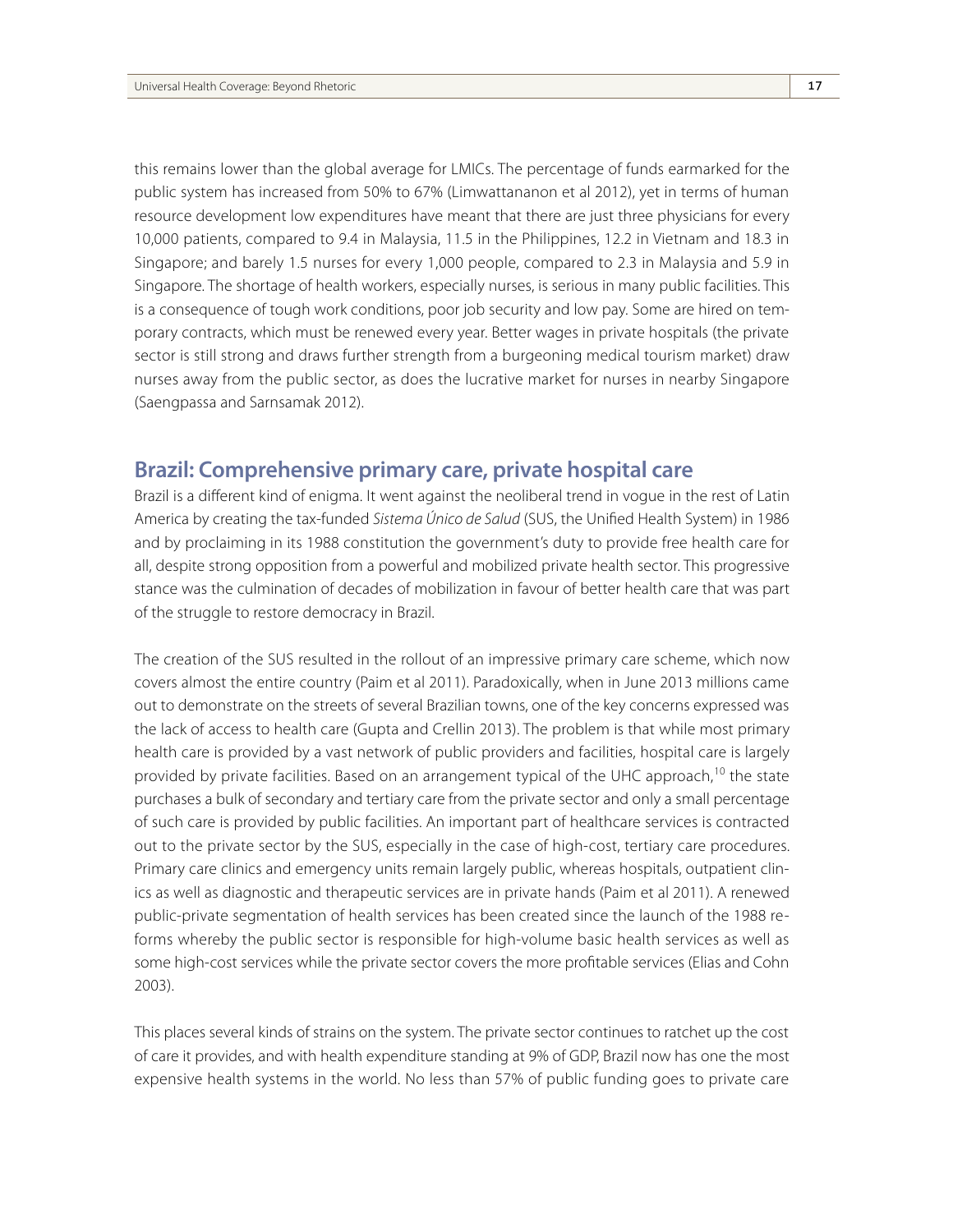this remains lower than the global average for LMICs. The percentage of funds earmarked for the public system has increased from 50% to 67% (Limwattananon et al 2012), yet in terms of human resource development low expenditures have meant that there are just three physicians for every 10,000 patients, compared to 9.4 in Malaysia, 11.5 in the Philippines, 12.2 in Vietnam and 18.3 in Singapore; and barely 1.5 nurses for every 1,000 people, compared to 2.3 in Malaysia and 5.9 in Singapore. The shortage of health workers, especially nurses, is serious in many public facilities. This is a consequence of tough work conditions, poor job security and low pay. Some are hired on temporary contracts, which must be renewed every year. Better wages in private hospitals (the private sector is still strong and draws further strength from a burgeoning medical tourism market) draw nurses away from the public sector, as does the lucrative market for nurses in nearby Singapore (Saengpassa and Sarnsamak 2012).

#### **Brazil: Comprehensive primary care, private hospital care**

Brazil is a different kind of enigma. It went against the neoliberal trend in vogue in the rest of Latin America by creating the tax-funded *Sistema Único de Salud* (SUS, the Unified Health System) in 1986 and by proclaiming in its 1988 constitution the government's duty to provide free health care for all, despite strong opposition from a powerful and mobilized private health sector. This progressive stance was the culmination of decades of mobilization in favour of better health care that was part of the struggle to restore democracy in Brazil.

The creation of the SUS resulted in the rollout of an impressive primary care scheme, which now covers almost the entire country (Paim et al 2011). Paradoxically, when in June 2013 millions came out to demonstrate on the streets of several Brazilian towns, one of the key concerns expressed was the lack of access to health care (Gupta and Crellin 2013). The problem is that while most primary health care is provided by a vast network of public providers and facilities, hospital care is largely provided by private facilities. Based on an arrangement typical of the UHC approach,<sup>10</sup> the state purchases a bulk of secondary and tertiary care from the private sector and only a small percentage of such care is provided by public facilities. An important part of healthcare services is contracted out to the private sector by the SUS, especially in the case of high-cost, tertiary care procedures. Primary care clinics and emergency units remain largely public, whereas hospitals, outpatient clinics as well as diagnostic and therapeutic services are in private hands (Paim et al 2011). A renewed public-private segmentation of health services has been created since the launch of the 1988 reforms whereby the public sector is responsible for high-volume basic health services as well as some high-cost services while the private sector covers the more profitable services (Elias and Cohn 2003).

This places several kinds of strains on the system. The private sector continues to ratchet up the cost of care it provides, and with health expenditure standing at 9% of GDP, Brazil now has one the most expensive health systems in the world. No less than 57% of public funding goes to private care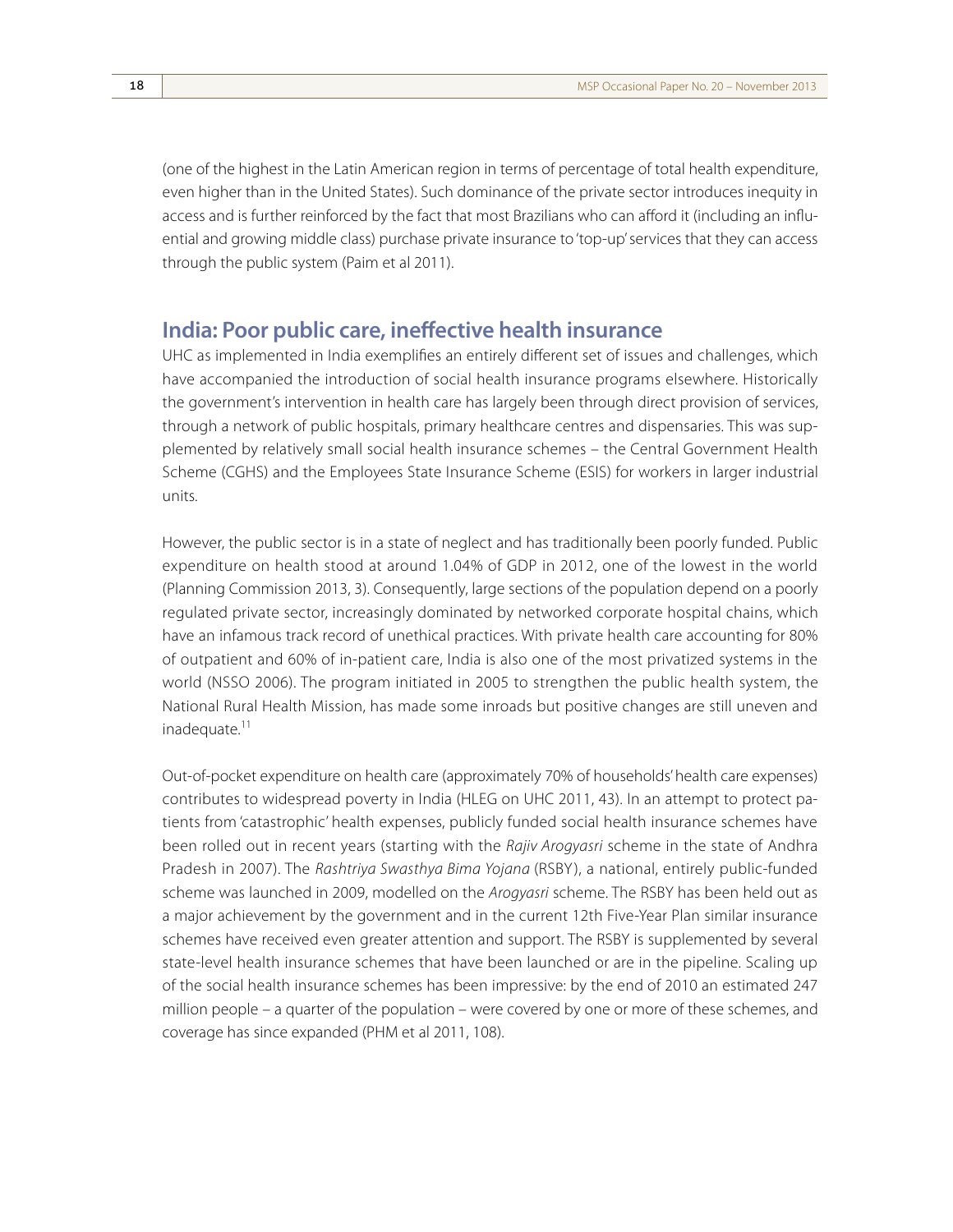(one of the highest in the Latin American region in terms of percentage of total health expenditure, even higher than in the United States). Such dominance of the private sector introduces inequity in access and is further reinforced by the fact that most Brazilians who can afford it (including an influential and growing middle class) purchase private insurance to 'top-up' services that they can access through the public system (Paim et al 2011).

#### **India: Poor public care, ineffective health insurance**

UHC as implemented in India exemplifies an entirely different set of issues and challenges, which have accompanied the introduction of social health insurance programs elsewhere. Historically the government's intervention in health care has largely been through direct provision of services, through a network of public hospitals, primary healthcare centres and dispensaries. This was supplemented by relatively small social health insurance schemes – the Central Government Health Scheme (CGHS) and the Employees State Insurance Scheme (ESIS) for workers in larger industrial units.

However, the public sector is in a state of neglect and has traditionally been poorly funded. Public expenditure on health stood at around 1.04% of GDP in 2012, one of the lowest in the world (Planning Commission 2013, 3). Consequently, large sections of the population depend on a poorly regulated private sector, increasingly dominated by networked corporate hospital chains, which have an infamous track record of unethical practices. With private health care accounting for 80% of outpatient and 60% of in-patient care, India is also one of the most privatized systems in the world (NSSO 2006). The program initiated in 2005 to strengthen the public health system, the National Rural Health Mission, has made some inroads but positive changes are still uneven and inadequate.<sup>11</sup>

Out-of-pocket expenditure on health care (approximately 70% of households' health care expenses) contributes to widespread poverty in India (HLEG on UHC 2011, 43). In an attempt to protect patients from 'catastrophic' health expenses, publicly funded social health insurance schemes have been rolled out in recent years (starting with the *Rajiv Arogyasri* scheme in the state of Andhra Pradesh in 2007). The *Rashtriya Swasthya Bima Yojana* (RSBY), a national, entirely public-funded scheme was launched in 2009, modelled on the *Arogyasri* scheme. The RSBY has been held out as a major achievement by the government and in the current 12th Five-Year Plan similar insurance schemes have received even greater attention and support. The RSBY is supplemented by several state-level health insurance schemes that have been launched or are in the pipeline. Scaling up of the social health insurance schemes has been impressive: by the end of 2010 an estimated 247 million people – a quarter of the population – were covered by one or more of these schemes, and coverage has since expanded (PHM et al 2011, 108).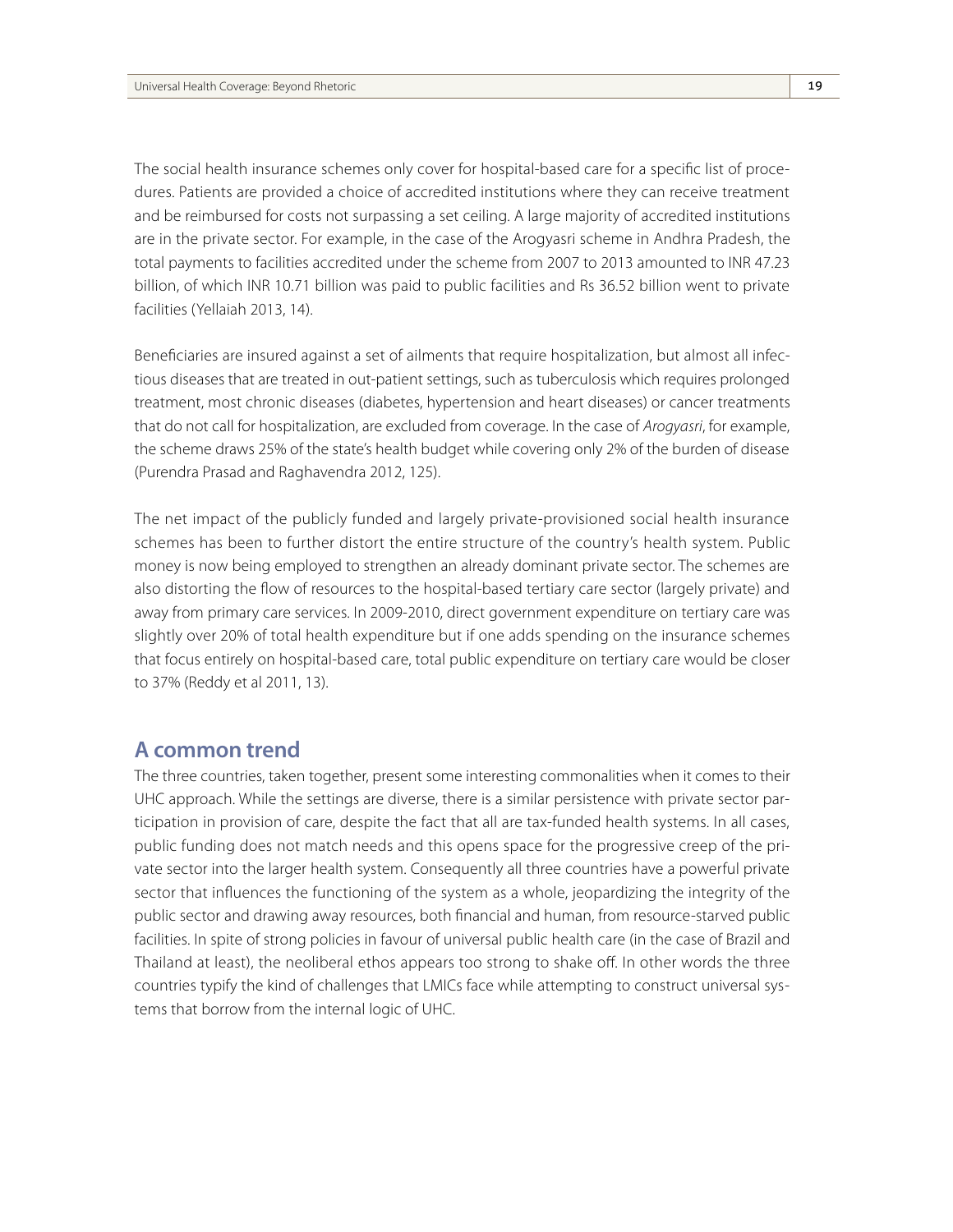The social health insurance schemes only cover for hospital-based care for a specific list of procedures. Patients are provided a choice of accredited institutions where they can receive treatment and be reimbursed for costs not surpassing a set ceiling. A large majority of accredited institutions are in the private sector. For example, in the case of the Arogyasri scheme in Andhra Pradesh, the total payments to facilities accredited under the scheme from 2007 to 2013 amounted to INR 47.23 billion, of which INR 10.71 billion was paid to public facilities and Rs 36.52 billion went to private facilities (Yellaiah 2013, 14).

Beneficiaries are insured against a set of ailments that require hospitalization, but almost all infectious diseases that are treated in out-patient settings, such as tuberculosis which requires prolonged treatment, most chronic diseases (diabetes, hypertension and heart diseases) or cancer treatments that do not call for hospitalization, are excluded from coverage. In the case of *Arogyasri*, for example, the scheme draws 25% of the state's health budget while covering only 2% of the burden of disease (Purendra Prasad and Raghavendra 2012, 125).

The net impact of the publicly funded and largely private-provisioned social health insurance schemes has been to further distort the entire structure of the country's health system. Public money is now being employed to strengthen an already dominant private sector. The schemes are also distorting the flow of resources to the hospital-based tertiary care sector (largely private) and away from primary care services. In 2009-2010, direct government expenditure on tertiary care was slightly over 20% of total health expenditure but if one adds spending on the insurance schemes that focus entirely on hospital-based care, total public expenditure on tertiary care would be closer to 37% (Reddy et al 2011, 13).

#### **A common trend**

The three countries, taken together, present some interesting commonalities when it comes to their UHC approach. While the settings are diverse, there is a similar persistence with private sector participation in provision of care, despite the fact that all are tax-funded health systems. In all cases, public funding does not match needs and this opens space for the progressive creep of the private sector into the larger health system. Consequently all three countries have a powerful private sector that influences the functioning of the system as a whole, jeopardizing the integrity of the public sector and drawing away resources, both financial and human, from resource-starved public facilities. In spite of strong policies in favour of universal public health care (in the case of Brazil and Thailand at least), the neoliberal ethos appears too strong to shake off. In other words the three countries typify the kind of challenges that LMICs face while attempting to construct universal systems that borrow from the internal logic of UHC.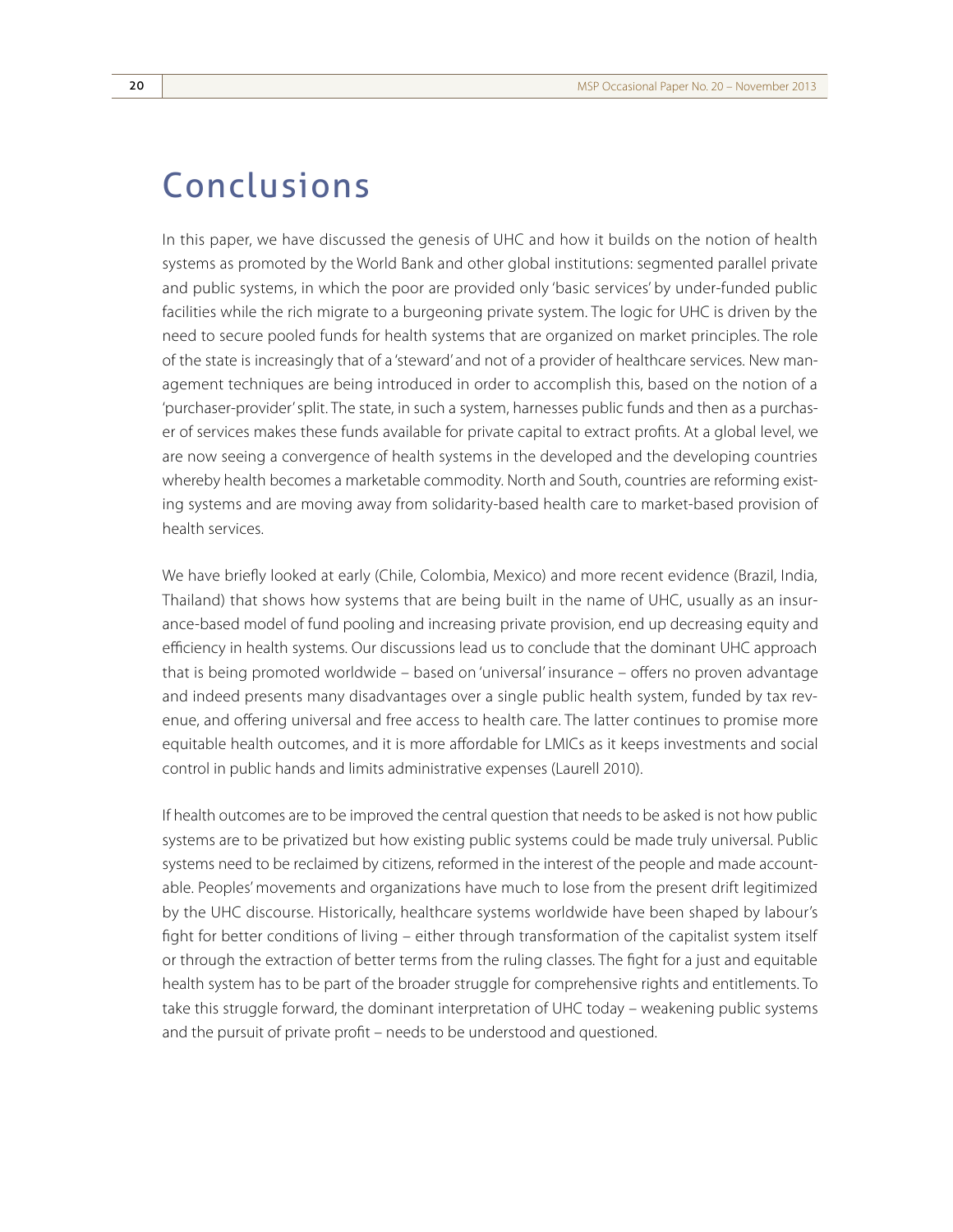### Conclusions

In this paper, we have discussed the genesis of UHC and how it builds on the notion of health systems as promoted by the World Bank and other global institutions: segmented parallel private and public systems, in which the poor are provided only 'basic services' by under-funded public facilities while the rich migrate to a burgeoning private system. The logic for UHC is driven by the need to secure pooled funds for health systems that are organized on market principles. The role of the state is increasingly that of a 'steward' and not of a provider of healthcare services. New management techniques are being introduced in order to accomplish this, based on the notion of a 'purchaser-provider' split. The state, in such a system, harnesses public funds and then as a purchaser of services makes these funds available for private capital to extract profits. At a global level, we are now seeing a convergence of health systems in the developed and the developing countries whereby health becomes a marketable commodity. North and South, countries are reforming existing systems and are moving away from solidarity-based health care to market-based provision of health services.

We have briefly looked at early (Chile, Colombia, Mexico) and more recent evidence (Brazil, India, Thailand) that shows how systems that are being built in the name of UHC, usually as an insurance-based model of fund pooling and increasing private provision, end up decreasing equity and efficiency in health systems. Our discussions lead us to conclude that the dominant UHC approach that is being promoted worldwide – based on 'universal' insurance – offers no proven advantage and indeed presents many disadvantages over a single public health system, funded by tax revenue, and offering universal and free access to health care. The latter continues to promise more equitable health outcomes, and it is more affordable for LMICs as it keeps investments and social control in public hands and limits administrative expenses (Laurell 2010).

If health outcomes are to be improved the central question that needs to be asked is not how public systems are to be privatized but how existing public systems could be made truly universal. Public systems need to be reclaimed by citizens, reformed in the interest of the people and made accountable. Peoples' movements and organizations have much to lose from the present drift legitimized by the UHC discourse. Historically, healthcare systems worldwide have been shaped by labour's fight for better conditions of living – either through transformation of the capitalist system itself or through the extraction of better terms from the ruling classes. The fight for a just and equitable health system has to be part of the broader struggle for comprehensive rights and entitlements. To take this struggle forward, the dominant interpretation of UHC today – weakening public systems and the pursuit of private profit – needs to be understood and questioned.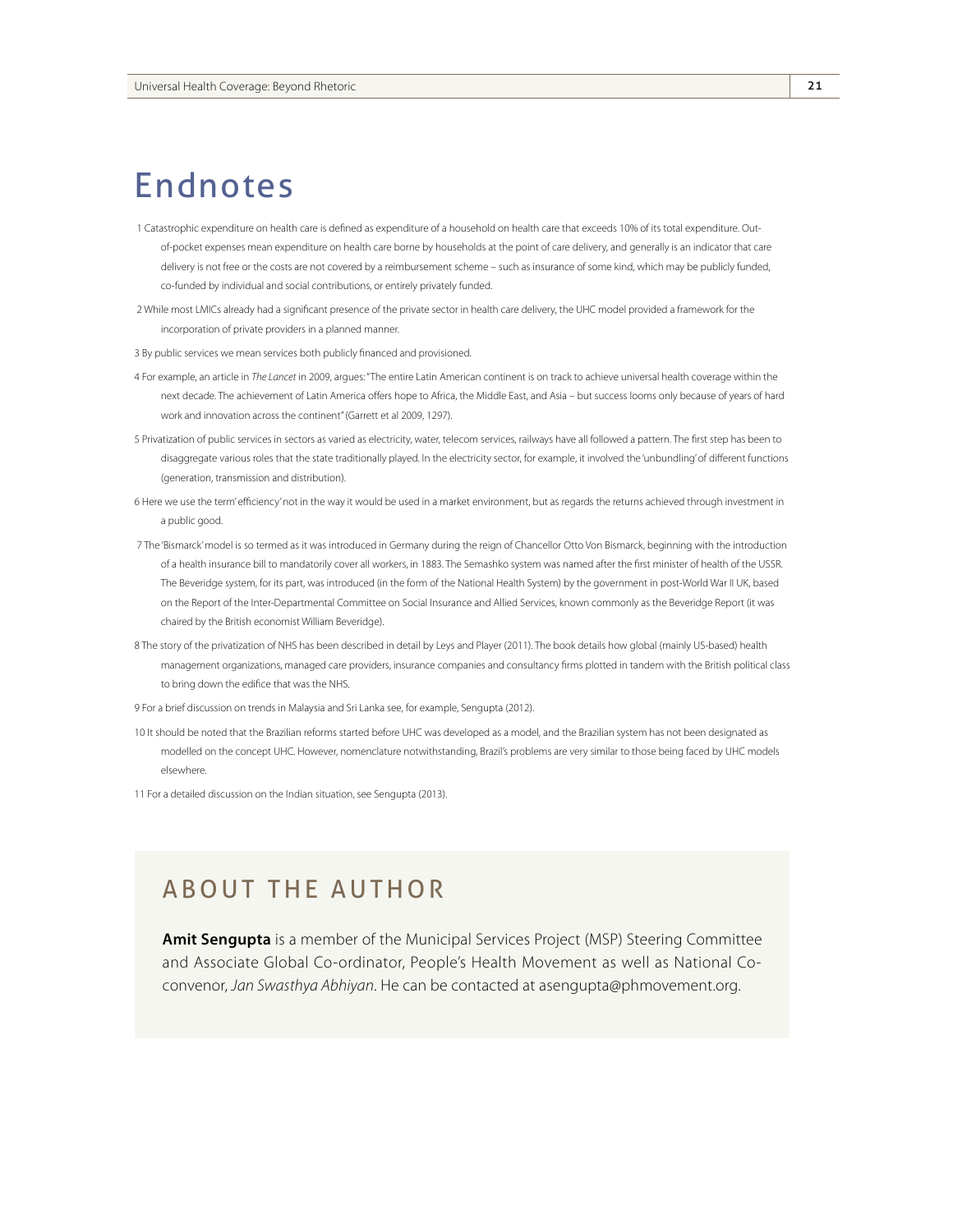### Endnotes

- 1 Catastrophic expenditure on health care is defined as expenditure of a household on health care that exceeds 10% of its total expenditure. Outof-pocket expenses mean expenditure on health care borne by households at the point of care delivery, and generally is an indicator that care delivery is not free or the costs are not covered by a reimbursement scheme – such as insurance of some kind, which may be publicly funded, co-funded by individual and social contributions, or entirely privately funded.
- 2 While most LMICs already had a significant presence of the private sector in health care delivery, the UHC model provided a framework for the incorporation of private providers in a planned manner.
- 3 By public services we mean services both publicly financed and provisioned.
- 4 For example, an article in *The Lancet* in 2009, argues: "The entire Latin American continent is on track to achieve universal health coverage within the next decade. The achievement of Latin America offers hope to Africa, the Middle East, and Asia – but success looms only because of years of hard work and innovation across the continent" (Garrett et al 2009, 1297).
- 5 Privatization of public services in sectors as varied as electricity, water, telecom services, railways have all followed a pattern. The first step has been to disaggregate various roles that the state traditionally played. In the electricity sector, for example, it involved the 'unbundling' of different functions (generation, transmission and distribution).
- 6 Here we use the term' efficiency' not in the way it would be used in a market environment, but as regards the returns achieved through investment in a public good.
- 7 The 'Bismarck' model is so termed as it was introduced in Germany during the reign of Chancellor Otto Von Bismarck, beginning with the introduction of a health insurance bill to mandatorily cover all workers, in 1883. The Semashko system was named after the first minister of health of the USSR. The Beveridge system, for its part, was introduced (in the form of the National Health System) by the government in post-World War II UK, based on the Report of the Inter-Departmental Committee on Social Insurance and Allied Services, known commonly as the Beveridge Report (it was chaired by the British economist William Beveridge).
- 8 The story of the privatization of NHS has been described in detail by Leys and Player (2011). The book details how global (mainly US-based) health management organizations, managed care providers, insurance companies and consultancy firms plotted in tandem with the British political class to bring down the edifice that was the NHS.
- 9 For a brief discussion on trends in Malaysia and Sri Lanka see, for example, Sengupta (2012).
- 10 It should be noted that the Brazilian reforms started before UHC was developed as a model, and the Brazilian system has not been designated as modelled on the concept UHC. However, nomenclature notwithstanding, Brazil's problems are very similar to those being faced by UHC models elsewhere.
- 11 For a detailed discussion on the Indian situation, see Sengupta (2013).

#### About the author

**Amit Sengupta** is a member of the Municipal Services Project (MSP) Steering Committee and Associate Global Co-ordinator, People's Health Movement as well as National Coconvenor, *Jan Swasthya Abhiyan*. He can be contacted at asengupta@phmovement.org.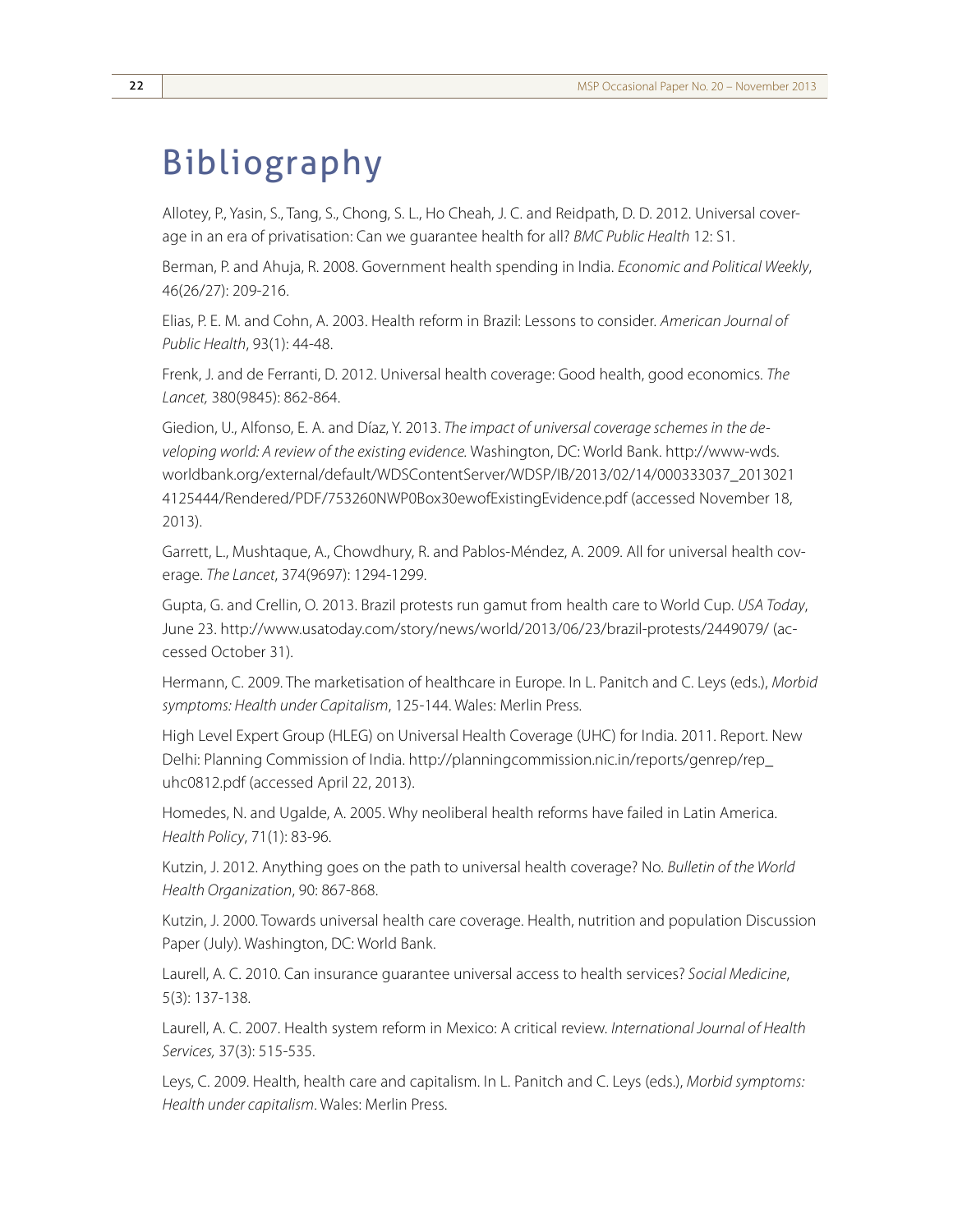### Bibliography

Allotey, P., Yasin, S., Tang, S., Chong, S. L., Ho Cheah, J. C. and Reidpath, D. D. 2012. Universal coverage in an era of privatisation: Can we guarantee health for all? *BMC Public Health* 12: S1.

Berman, P. and Ahuja, R. 2008. Government health spending in India. *Economic and Political Weekly*, 46(26/27): 209-216.

Elias, P. E. M. and Cohn, A. 2003. Health reform in Brazil: Lessons to consider. *American Journal of Public Health*, 93(1): 44-48.

Frenk, J. and de Ferranti, D. 2012. Universal health coverage: Good health, good economics. *The Lancet,* 380(9845): 862-864.

Giedion, U., Alfonso, E. A. and Díaz, Y. 2013. *The impact of universal coverage schemes in the developing world: A review of the existing evidence.* Washington, DC: World Bank. http://www-wds. worldbank.org/external/default/WDSContentServer/WDSP/IB/2013/02/14/000333037\_2013021 4125444/Rendered/PDF/753260NWP0Box30ewofExistingEvidence.pdf (accessed November 18, 2013).

Garrett, L., Mushtaque, A., Chowdhury, R. and Pablos-Méndez, A. 2009. All for universal health coverage. *The Lancet*, 374(9697): 1294-1299.

Gupta, G. and Crellin, O. 2013. Brazil protests run gamut from health care to World Cup. *USA Today*, June 23. http://www.usatoday.com/story/news/world/2013/06/23/brazil-protests/2449079/ (accessed October 31).

Hermann, C. 2009. The marketisation of healthcare in Europe. In L. Panitch and C. Leys (eds.), *Morbid symptoms: Health under Capitalism*, 125-144. Wales: Merlin Press.

High Level Expert Group (HLEG) on Universal Health Coverage (UHC) for India. 2011. Report. New Delhi: Planning Commission of India. http://planningcommission.nic.in/reports/genrep/rep\_ uhc0812.pdf (accessed April 22, 2013).

Homedes, N. and Ugalde, A. 2005. Why neoliberal health reforms have failed in Latin America. *Health Policy*, 71(1): 83-96.

Kutzin, J. 2012. Anything goes on the path to universal health coverage? No. *Bulletin of the World Health Organization*, 90: 867-868.

Kutzin, J. 2000. Towards universal health care coverage. Health, nutrition and population Discussion Paper (July). Washington, DC: World Bank.

Laurell, A. C. 2010. Can insurance guarantee universal access to health services? *Social Medicine*, 5(3): 137-138.

Laurell, A. C. 2007. Health system reform in Mexico: A critical review. *International Journal of Health Services,* 37(3): 515-535.

Leys, C. 2009. Health, health care and capitalism. In L. Panitch and C. Leys (eds.), *Morbid symptoms: Health under capitalism*. Wales: Merlin Press.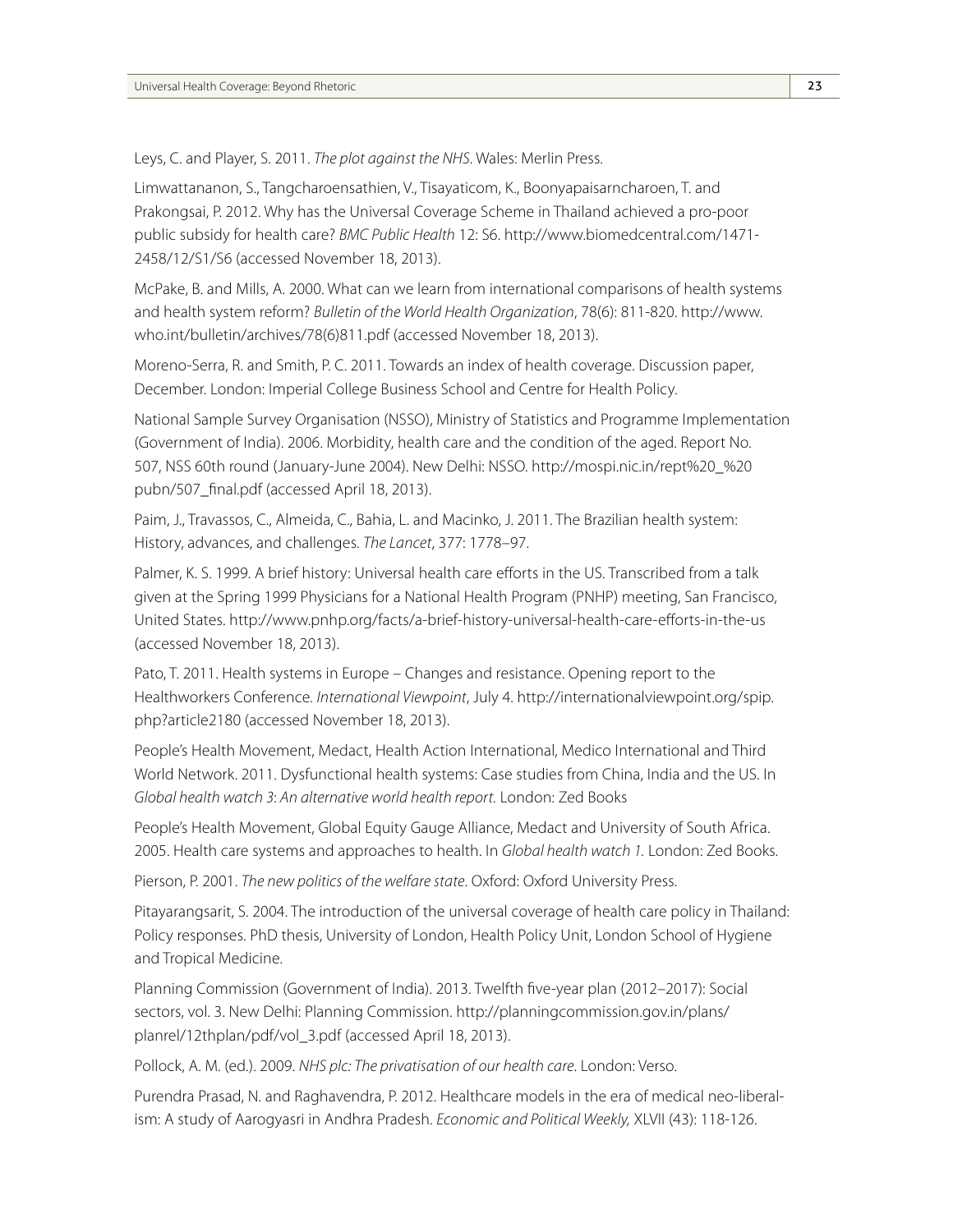Leys, C. and Player, S. 2011. *The plot against the NHS*. Wales: Merlin Press.

Limwattananon, S., Tangcharoensathien, V., Tisayaticom, K., Boonyapaisarncharoen, T. and Prakongsai, P. 2012. Why has the Universal Coverage Scheme in Thailand achieved a pro-poor public subsidy for health care? *BMC Public Health* 12: S6. http://www.biomedcentral.com/1471- 2458/12/S1/S6 (accessed November 18, 2013).

McPake, B. and Mills, A. 2000. What can we learn from international comparisons of health systems and health system reform? *Bulletin of the World Health Organization*, 78(6): 811-820. http://www. who.int/bulletin/archives/78(6)811.pdf (accessed November 18, 2013).

Moreno-Serra, R. and Smith, P. C. 2011. Towards an index of health coverage. Discussion paper, December. London: Imperial College Business School and Centre for Health Policy.

National Sample Survey Organisation (NSSO), Ministry of Statistics and Programme Implementation (Government of India). 2006. Morbidity, health care and the condition of the aged. Report No. 507, NSS 60th round (January-June 2004). New Delhi: NSSO. http://mospi.nic.in/rept%20\_%20 pubn/507 final.pdf (accessed April 18, 2013).

Paim, J., Travassos, C., Almeida, C., Bahia, L. and Macinko, J. 2011. The Brazilian health system: History, advances, and challenges. *The Lancet*, 377: 1778–97.

Palmer, K. S. 1999. A brief history: Universal health care efforts in the US. Transcribed from a talk given at the Spring 1999 Physicians for a National Health Program (PNHP) meeting, San Francisco, United States. http://www.pnhp.org/facts/a-brief-history-universal-health-care-efforts-in-the-us (accessed November 18, 2013).

Pato, T. 2011. Health systems in Europe – Changes and resistance. Opening report to the Healthworkers Conference. *International Viewpoint*, July 4. http://internationalviewpoint.org/spip. php?article2180 (accessed November 18, 2013).

People's Health Movement, Medact, Health Action International, Medico International and Third World Network. 2011. Dysfunctional health systems: Case studies from China, India and the US. In *Global health watch 3*: *An alternative world health report.* London: Zed Books

People's Health Movement, Global Equity Gauge Alliance, Medact and University of South Africa. 2005. Health care systems and approaches to health. In *Global health watch 1.* London: Zed Books.

Pierson, P. 2001. *The new politics of the welfare state*. Oxford: Oxford University Press.

Pitayarangsarit, S. 2004. The introduction of the universal coverage of health care policy in Thailand: Policy responses. PhD thesis, University of London, Health Policy Unit, London School of Hygiene and Tropical Medicine.

Planning Commission (Government of India). 2013. Twelfth five-year plan (2012–2017): Social sectors, vol. 3. New Delhi: Planning Commission. http://planningcommission.gov.in/plans/ planrel/12thplan/pdf/vol\_3.pdf (accessed April 18, 2013).

Pollock, A. M. (ed.). 2009. *NHS plc: The privatisation of our health care*. London: Verso.

Purendra Prasad, N. and Raghavendra, P. 2012. Healthcare models in the era of medical neo-liberalism: A study of Aarogyasri in Andhra Pradesh. *Economic and Political Weekly,* XLVII (43): 118-126.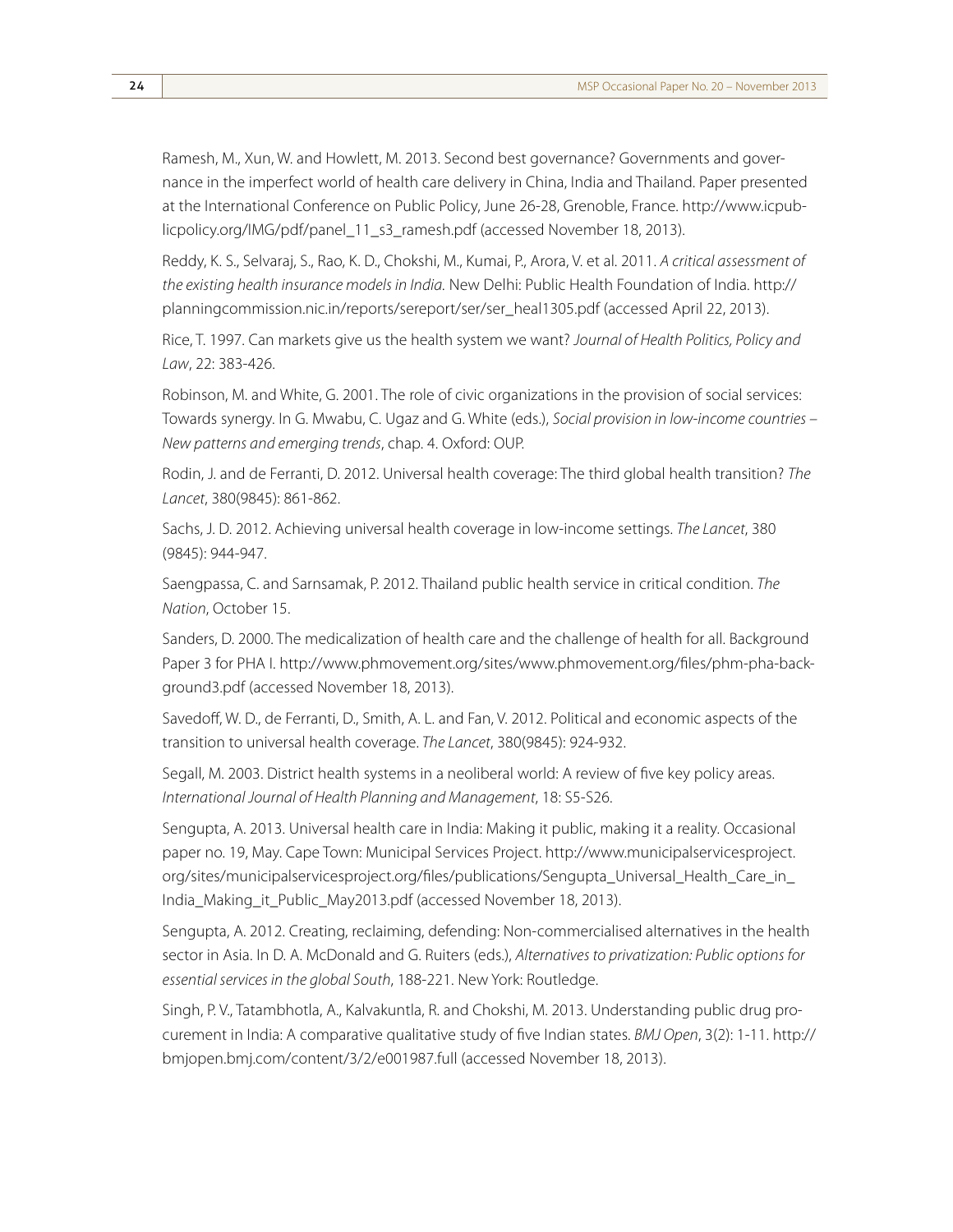Ramesh, M., Xun, W. and Howlett, M. 2013. Second best governance? Governments and governance in the imperfect world of health care delivery in China, India and Thailand. Paper presented at the International Conference on Public Policy, June 26-28, Grenoble, France. http://www.icpublicpolicy.org/IMG/pdf/panel\_11\_s3\_ramesh.pdf (accessed November 18, 2013).

Reddy, K. S., Selvaraj, S., Rao, K. D., Chokshi, M., Kumai, P., Arora, V. et al. 2011. *A critical assessment of the existing health insurance models in India.* New Delhi: Public Health Foundation of India. http:// planningcommission.nic.in/reports/sereport/ser/ser\_heal1305.pdf (accessed April 22, 2013).

Rice, T. 1997. Can markets give us the health system we want? *Journal of Health Politics, Policy and Law*, 22: 383-426.

Robinson, M. and White, G. 2001. The role of civic organizations in the provision of social services: Towards synergy. In G. Mwabu, C. Ugaz and G. White (eds.), *Social provision in low-income countries – New patterns and emerging trends*, chap. 4. Oxford: OUP.

Rodin, J. and de Ferranti, D. 2012. Universal health coverage: The third global health transition? *The Lancet*, 380(9845): 861-862.

Sachs, J. D. 2012. Achieving universal health coverage in low-income settings. *The Lancet*, 380 (9845): 944-947.

Saengpassa, C. and Sarnsamak, P. 2012. Thailand public health service in critical condition. *The Nation*, October 15.

Sanders, D. 2000. The medicalization of health care and the challenge of health for all. Background Paper 3 for PHA I. http://www.phmovement.org/sites/www.phmovement.org/files/phm-pha-background3.pdf (accessed November 18, 2013).

Savedoff, W. D., de Ferranti, D., Smith, A. L. and Fan, V. 2012. Political and economic aspects of the transition to universal health coverage. *The Lancet*, 380(9845): 924-932.

Segall, M. 2003. District health systems in a neoliberal world: A review of five key policy areas. *International Journal of Health Planning and Management*, 18: S5-S26.

Sengupta, A. 2013. Universal health care in India: Making it public, making it a reality. Occasional paper no. 19, May. Cape Town: Municipal Services Project. http://www.municipalservicesproject. org/sites/municipalservicesproject.org/files/publications/Sengupta\_Universal\_Health\_Care\_in\_ India\_Making\_it\_Public\_May2013.pdf (accessed November 18, 2013).

Sengupta, A. 2012. Creating, reclaiming, defending: Non-commercialised alternatives in the health sector in Asia. In D. A. McDonald and G. Ruiters (eds.), *Alternatives to privatization: Public options for essential services in the global South*, 188-221. New York: Routledge.

Singh, P. V., Tatambhotla, A., Kalvakuntla, R. and Chokshi, M. 2013. Understanding public drug procurement in India: A comparative qualitative study of five Indian states. *BMJ Open*, 3(2): 1-11. http:// bmjopen.bmj.com/content/3/2/e001987.full (accessed November 18, 2013).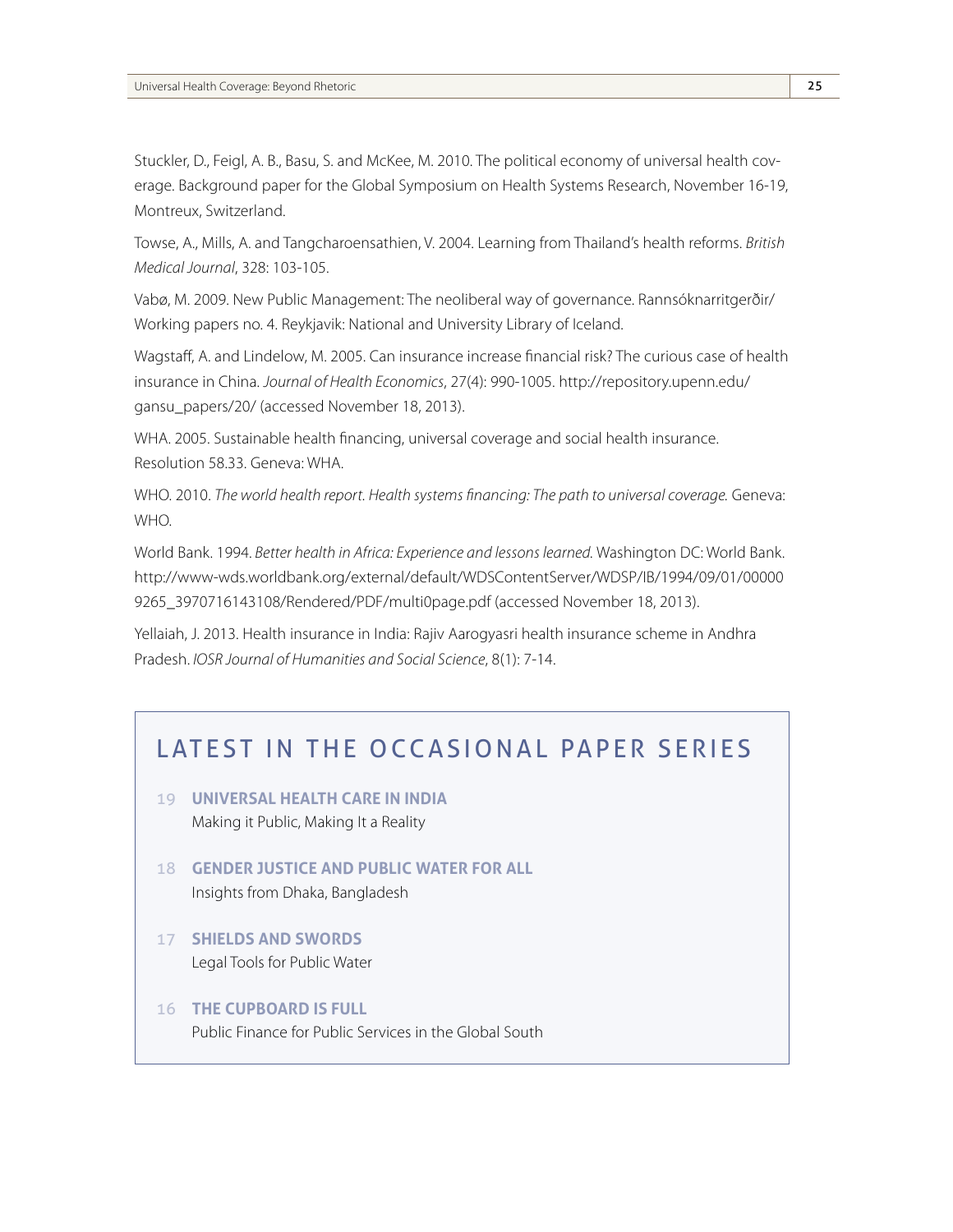Stuckler, D., Feigl, A. B., Basu, S. and McKee, M. 2010. The political economy of universal health coverage. Background paper for the Global Symposium on Health Systems Research, November 16-19, Montreux, Switzerland.

Towse, A., Mills, A. and Tangcharoensathien, V. 2004. Learning from Thailand's health reforms. *British Medical Journal*, 328: 103-105.

Vabø, M. 2009. New Public Management: The neoliberal way of governance. Rannsóknarritgerðir/ Working papers no. 4. Reykjavik: National and University Library of Iceland.

Wagstaff, A. and Lindelow, M. 2005. Can insurance increase financial risk? The curious case of health insurance in China. *Journal of Health Economics*, 27(4): 990-1005. http://repository.upenn.edu/ gansu\_papers/20/ (accessed November 18, 2013).

WHA. 2005. Sustainable health financing, universal coverage and social health insurance. Resolution 58.33. Geneva: WHA.

WHO. 2010. *The world health report. Health systems financing: The path to universal coverage.* Geneva: WHO.

World Bank. 1994. *Better health in Africa: Experience and lessons learned.* Washington DC: World Bank. http://www-wds.worldbank.org/external/default/WDSContentServer/WDSP/IB/1994/09/01/00000 9265\_3970716143108/Rendered/PDF/multi0page.pdf (accessed November 18, 2013).

Yellaiah, J. 2013. Health insurance in India: Rajiv Aarogyasri health insurance scheme in Andhra Pradesh. *IOSR Journal of Humanities and Social Science*, 8(1): 7-14.

#### LATEST IN THE OCCASIONAL PAPER SERIES

- 19 **Universal health care in India** Making it Public, Making It a Reality
- 18 **GENDER JUSTICE AND PUBLIC WATER FOR ALL** Insights from Dhaka, Bangladesh
- 17 **SHIELDS AND SWORDS** Legal Tools for Public Water
- 16 **THE CUPBOARD IS FULL** Public Finance for Public Services in the Global South